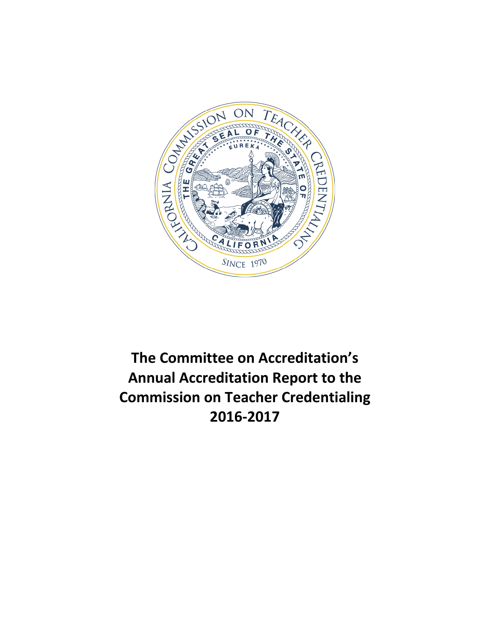

# **The Committee on Accreditation's Annual Accreditation Report to the Commission on Teacher Credentialing 2016-2017**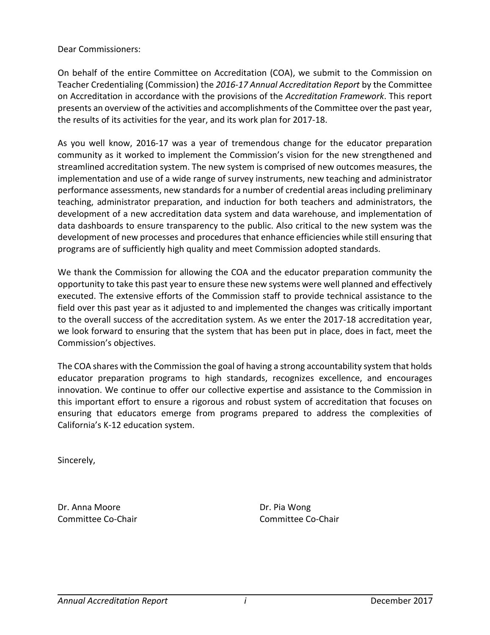Dear Commissioners:

On behalf of the entire Committee on Accreditation (COA), we submit to the Commission on Teacher Credentialing (Commission) the *2016-17 Annual Accreditation Report* by the Committee on Accreditation in accordance with the provisions of the *Accreditation Framework*. This report presents an overview of the activities and accomplishments of the Committee over the past year, the results of its activities for the year, and its work plan for 2017-18.

As you well know, 2016-17 was a year of tremendous change for the educator preparation community as it worked to implement the Commission's vision for the new strengthened and streamlined accreditation system. The new system is comprised of new outcomes measures, the implementation and use of a wide range of survey instruments, new teaching and administrator performance assessments, new standards for a number of credential areas including preliminary teaching, administrator preparation, and induction for both teachers and administrators, the development of a new accreditation data system and data warehouse, and implementation of data dashboards to ensure transparency to the public. Also critical to the new system was the development of new processes and procedures that enhance efficiencies while still ensuring that programs are of sufficiently high quality and meet Commission adopted standards.

We thank the Commission for allowing the COA and the educator preparation community the opportunity to take this past year to ensure these new systems were well planned and effectively executed. The extensive efforts of the Commission staff to provide technical assistance to the field over this past year as it adjusted to and implemented the changes was critically important to the overall success of the accreditation system. As we enter the 2017-18 accreditation year, we look forward to ensuring that the system that has been put in place, does in fact, meet the Commission's objectives.

The COA shares with the Commission the goal of having a strong accountability system that holds educator preparation programs to high standards, recognizes excellence, and encourages innovation. We continue to offer our collective expertise and assistance to the Commission in this important effort to ensure a rigorous and robust system of accreditation that focuses on ensuring that educators emerge from programs prepared to address the complexities of California's K-12 education system.

Sincerely,

Dr. Anna Moore Dr. Pia Wong

Committee Co-Chair Committee Co-Chair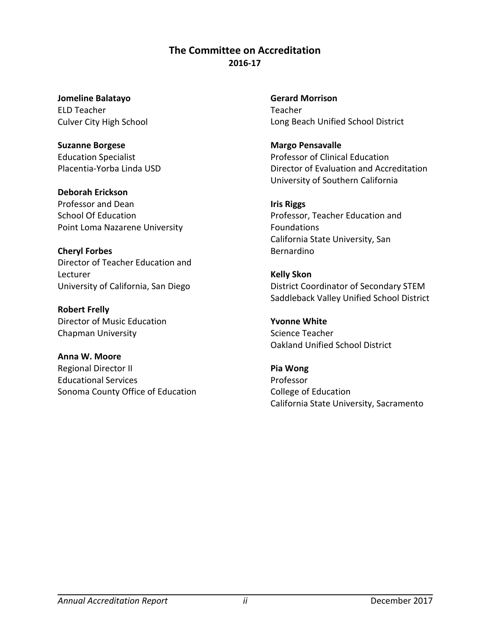## **The Committee on Accreditation 2016-17**

**Jomeline Balatayo** ELD Teacher Culver City High School

**Suzanne Borgese** Education Specialist Placentia-Yorba Linda USD

**Deborah Erickson** Professor and Dean School Of Education Point Loma Nazarene University

**Cheryl Forbes** Director of Teacher Education and Lecturer University of California, San Diego

**Robert Frelly** Director of Music Education Chapman University

**Anna W. Moore** Regional Director II Educational Services Sonoma County Office of Education **Gerard Morrison** Teacher Long Beach Unified School District

**Margo Pensavalle** Professor of Clinical Education Director of Evaluation and Accreditation University of Southern California

**Iris Riggs** Professor, Teacher Education and Foundations California State University, San Bernardino

**Kelly Skon** District Coordinator of Secondary STEM Saddleback Valley Unified School District

**Yvonne White**  Science Teacher Oakland Unified School District

**Pia Wong** Professor College of Education California State University, Sacramento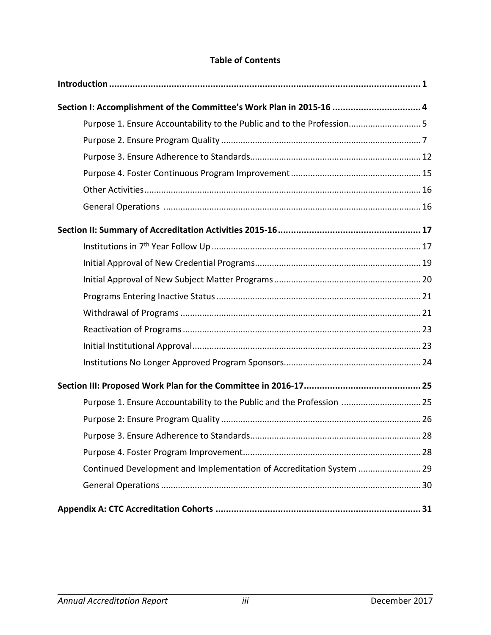# **Table of Contents**

| Section I: Accomplishment of the Committee's Work Plan in 2015-16  4  |     |
|-----------------------------------------------------------------------|-----|
| Purpose 1. Ensure Accountability to the Public and to the Profession5 |     |
|                                                                       |     |
|                                                                       |     |
|                                                                       |     |
|                                                                       |     |
|                                                                       |     |
|                                                                       |     |
|                                                                       |     |
|                                                                       |     |
|                                                                       |     |
|                                                                       |     |
|                                                                       |     |
|                                                                       |     |
|                                                                       |     |
|                                                                       |     |
|                                                                       |     |
| Purpose 1. Ensure Accountability to the Public and the Profession  25 |     |
|                                                                       |     |
| Purpose 3. Ensure Adherence to Standards                              | .28 |
|                                                                       |     |
| Continued Development and Implementation of Accreditation System  29  |     |
|                                                                       |     |
|                                                                       |     |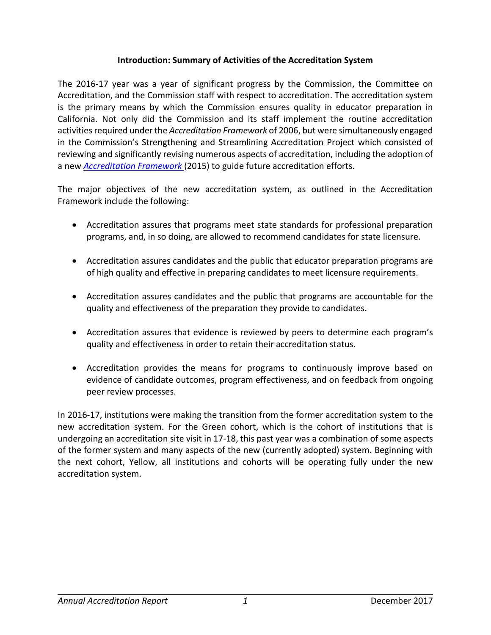## **Introduction: Summary of Activities of the Accreditation System**

The 2016-17 year was a year of significant progress by the Commission, the Committee on Accreditation, and the Commission staff with respect to accreditation. The accreditation system is the primary means by which the Commission ensures quality in educator preparation in California. Not only did the Commission and its staff implement the routine accreditation activities required under the *Accreditation Framework* of 2006, but were simultaneously engaged in the Commission's Strengthening and Streamlining Accreditation Project which consisted of reviewing and significantly revising numerous aspects of accreditation, including the adoption of a new *[Accreditation Framework](https://www.ctc.ca.gov/docs/default-source/educator-prep/accred-files/accred-framework-2016-02.pdf)* (2015) to guide future accreditation efforts.

The major objectives of the new accreditation system, as outlined in the Accreditation Framework include the following:

- Accreditation assures that programs meet state standards for professional preparation programs, and, in so doing, are allowed to recommend candidates for state licensure.
- Accreditation assures candidates and the public that educator preparation programs are of high quality and effective in preparing candidates to meet licensure requirements.
- Accreditation assures candidates and the public that programs are accountable for the quality and effectiveness of the preparation they provide to candidates.
- Accreditation assures that evidence is reviewed by peers to determine each program's quality and effectiveness in order to retain their accreditation status.
- Accreditation provides the means for programs to continuously improve based on evidence of candidate outcomes, program effectiveness, and on feedback from ongoing peer review processes.

In 2016-17, institutions were making the transition from the former accreditation system to the new accreditation system. For the Green cohort, which is the cohort of institutions that is undergoing an accreditation site visit in 17-18, this past year was a combination of some aspects of the former system and many aspects of the new (currently adopted) system. Beginning with the next cohort, Yellow, all institutions and cohorts will be operating fully under the new accreditation system.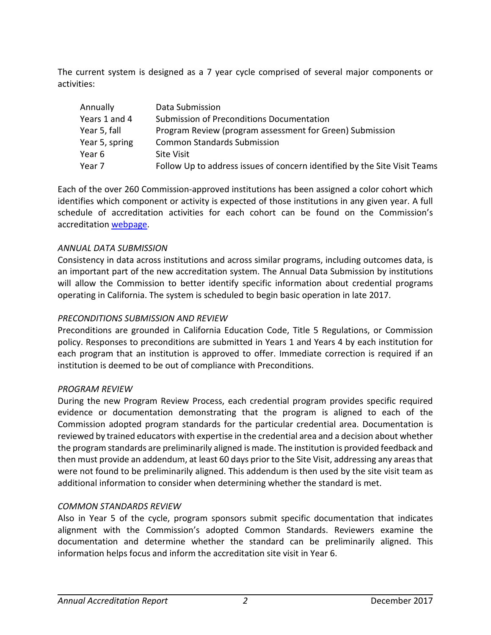The current system is designed as a 7 year cycle comprised of several major components or activities:

| Annually       | Data Submission                                                           |
|----------------|---------------------------------------------------------------------------|
| Years 1 and 4  | Submission of Preconditions Documentation                                 |
| Year 5, fall   | Program Review (program assessment for Green) Submission                  |
| Year 5, spring | <b>Common Standards Submission</b>                                        |
| Year 6         | <b>Site Visit</b>                                                         |
| Year 7         | Follow Up to address issues of concern identified by the Site Visit Teams |

Each of the over 260 Commission-approved institutions has been assigned a color cohort which identifies which component or activity is expected of those institutions in any given year. A full schedule of accreditation activities for each cohort can be found on the Commission's accreditation [webpage.](https://www.ctc.ca.gov/educator-prep/program-accred-sch-act)

#### *ANNUAL DATA SUBMISSION*

Consistency in data across institutions and across similar programs, including outcomes data, is an important part of the new accreditation system. The Annual Data Submission by institutions will allow the Commission to better identify specific information about credential programs operating in California. The system is scheduled to begin basic operation in late 2017.

#### *PRECONDITIONS SUBMISSION AND REVIEW*

Preconditions are grounded in California Education Code, Title 5 Regulations, or Commission policy. Responses to preconditions are submitted in Years 1 and Years 4 by each institution for each program that an institution is approved to offer. Immediate correction is required if an institution is deemed to be out of compliance with Preconditions.

#### *PROGRAM REVIEW*

During the new Program Review Process, each credential program provides specific required evidence or documentation demonstrating that the program is aligned to each of the Commission adopted program standards for the particular credential area. Documentation is reviewed by trained educators with expertise in the credential area and a decision about whether the program standards are preliminarily aligned is made. The institution is provided feedback and then must provide an addendum, at least 60 days prior to the Site Visit, addressing any areas that were not found to be preliminarily aligned. This addendum is then used by the site visit team as additional information to consider when determining whether the standard is met.

#### *COMMON STANDARDS REVIEW*

Also in Year 5 of the cycle, program sponsors submit specific documentation that indicates alignment with the Commission's adopted Common Standards. Reviewers examine the documentation and determine whether the standard can be preliminarily aligned. This information helps focus and inform the accreditation site visit in Year 6.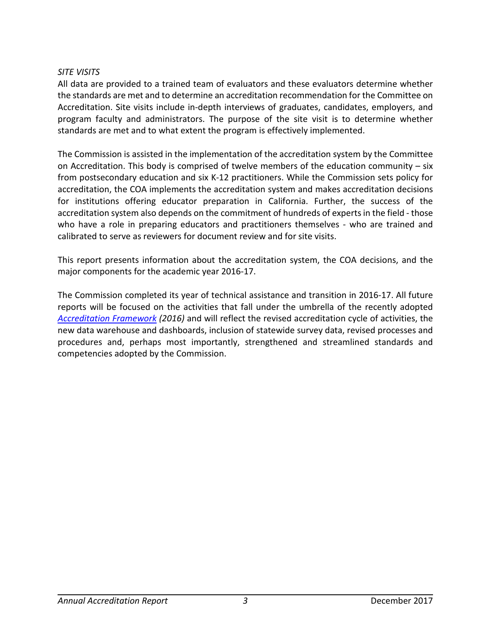#### *SITE VISITS*

All data are provided to a trained team of evaluators and these evaluators determine whether the standards are met and to determine an accreditation recommendation for the Committee on Accreditation. Site visits include in-depth interviews of graduates, candidates, employers, and program faculty and administrators. The purpose of the site visit is to determine whether standards are met and to what extent the program is effectively implemented.

The Commission is assisted in the implementation of the accreditation system by the Committee on Accreditation. This body is comprised of twelve members of the education community – six from postsecondary education and six K-12 practitioners. While the Commission sets policy for accreditation, the COA implements the accreditation system and makes accreditation decisions for institutions offering educator preparation in California. Further, the success of the accreditation system also depends on the commitment of hundreds of experts in the field - those who have a role in preparing educators and practitioners themselves - who are trained and calibrated to serve as reviewers for document review and for site visits.

This report presents information about the accreditation system, the COA decisions, and the major components for the academic year 2016-17.

The Commission completed its year of technical assistance and transition in 2016-17. All future reports will be focused on the activities that fall under the umbrella of the recently adopted *[Accreditation Framework](https://www.ctc.ca.gov/docs/default-source/educator-prep/accred-files/accred-framework-2016-02.pdf) (2016)* and will reflect the revised accreditation cycle of activities, the new data warehouse and dashboards, inclusion of statewide survey data, revised processes and procedures and, perhaps most importantly, strengthened and streamlined standards and competencies adopted by the Commission.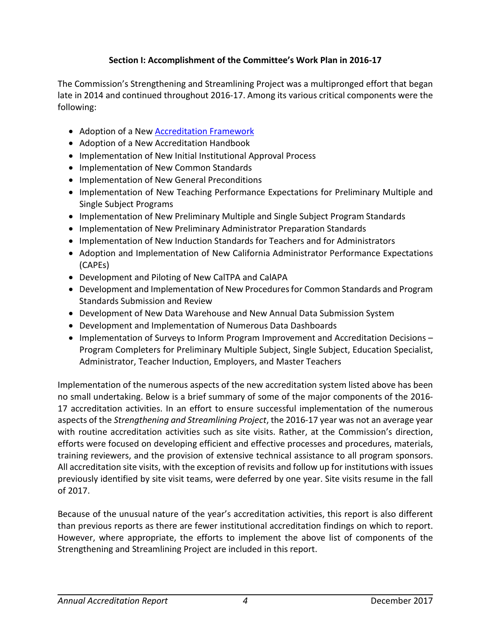## **Section I: Accomplishment of the Committee's Work Plan in 2016-17**

The Commission's Strengthening and Streamlining Project was a multipronged effort that began late in 2014 and continued throughout 2016-17. Among its various critical components were the following:

- Adoption of a New [Accreditation Framework](https://www.ctc.ca.gov/docs/default-source/educator-prep/accred-files/accred-framework-2016-02.pdf)
- Adoption of a New Accreditation Handbook
- Implementation of New Initial Institutional Approval Process
- Implementation of New Common Standards
- Implementation of New General Preconditions
- Implementation of New Teaching Performance Expectations for Preliminary Multiple and Single Subject Programs
- Implementation of New Preliminary Multiple and Single Subject Program Standards
- Implementation of New Preliminary Administrator Preparation Standards
- Implementation of New Induction Standards for Teachers and for Administrators
- Adoption and Implementation of New California Administrator Performance Expectations (CAPEs)
- Development and Piloting of New CalTPA and CalAPA
- Development and Implementation of New Procedures for Common Standards and Program Standards Submission and Review
- Development of New Data Warehouse and New Annual Data Submission System
- Development and Implementation of Numerous Data Dashboards
- Implementation of Surveys to Inform Program Improvement and Accreditation Decisions Program Completers for Preliminary Multiple Subject, Single Subject, Education Specialist, Administrator, Teacher Induction, Employers, and Master Teachers

Implementation of the numerous aspects of the new accreditation system listed above has been no small undertaking. Below is a brief summary of some of the major components of the 2016- 17 accreditation activities. In an effort to ensure successful implementation of the numerous aspects of the *Strengthening and Streamlining Project*, the 2016-17 year was not an average year with routine accreditation activities such as site visits. Rather, at the Commission's direction, efforts were focused on developing efficient and effective processes and procedures, materials, training reviewers, and the provision of extensive technical assistance to all program sponsors. All accreditation site visits, with the exception of revisits and follow up for institutions with issues previously identified by site visit teams, were deferred by one year. Site visits resume in the fall of 2017.

Because of the unusual nature of the year's accreditation activities, this report is also different than previous reports as there are fewer institutional accreditation findings on which to report. However, where appropriate, the efforts to implement the above list of components of the Strengthening and Streamlining Project are included in this report.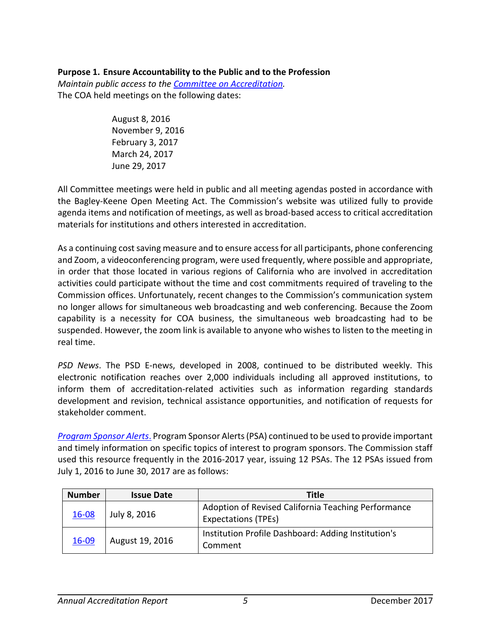## **Purpose 1. Ensure Accountability to the Public and to the Profession**

*Maintain public access to the [Committee on Accreditation.](https://www.ctc.ca.gov/educator-prep/coa)* The COA held meetings on the following dates:

> August 8, 2016 November 9, 2016 February 3, 2017 March 24, 2017 June 29, 2017

All Committee meetings were held in public and all meeting agendas posted in accordance with the Bagley-Keene Open Meeting Act. The Commission's website was utilized fully to provide agenda items and notification of meetings, as well as broad-based access to critical accreditation materials for institutions and others interested in accreditation.

As a continuing cost saving measure and to ensure access for all participants, phone conferencing and Zoom, a videoconferencing program, were used frequently, where possible and appropriate, in order that those located in various regions of California who are involved in accreditation activities could participate without the time and cost commitments required of traveling to the Commission offices. Unfortunately, recent changes to the Commission's communication system no longer allows for simultaneous web broadcasting and web conferencing. Because the Zoom capability is a necessity for COA business, the simultaneous web broadcasting had to be suspended. However, the zoom link is available to anyone who wishes to listen to the meeting in real time.

*PSD News*. The PSD E-news, developed in 2008, continued to be distributed weekly. This electronic notification reaches over 2,000 individuals including all approved institutions, to inform them of accreditation-related activities such as information regarding standards development and revision, technical assistance opportunities, and notification of requests for stakeholder comment.

*[Program Sponsor Alerts](https://www.ctc.ca.gov/educator-prep/ps-alerts)*. Program Sponsor Alerts (PSA) continued to be used to provide important and timely information on specific topics of interest to program sponsors. The Commission staff used this resource frequently in the 2016-2017 year, issuing 12 PSAs. The 12 PSAs issued from July 1, 2016 to June 30, 2017 are as follows:

| <b>Number</b> | <b>Issue Date</b> | <b>Title</b>                                                                      |
|---------------|-------------------|-----------------------------------------------------------------------------------|
| 16-08         | July 8, 2016      | Adoption of Revised California Teaching Performance<br><b>Expectations (TPEs)</b> |
| 16-09         | August 19, 2016   | Institution Profile Dashboard: Adding Institution's<br>Comment                    |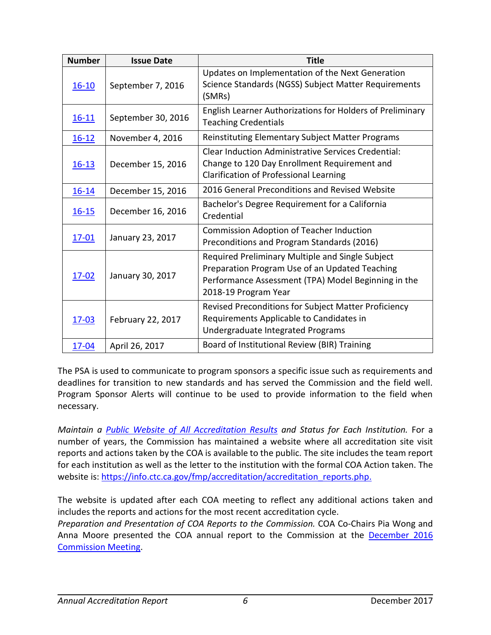| <b>Number</b> | <b>Issue Date</b>  | <b>Title</b>                                                                                                                                                                      |
|---------------|--------------------|-----------------------------------------------------------------------------------------------------------------------------------------------------------------------------------|
| $16 - 10$     | September 7, 2016  | Updates on Implementation of the Next Generation<br>Science Standards (NGSS) Subject Matter Requirements<br>(SMRs)                                                                |
| $16 - 11$     | September 30, 2016 | English Learner Authorizations for Holders of Preliminary<br><b>Teaching Credentials</b>                                                                                          |
| $16 - 12$     | November 4, 2016   | <b>Reinstituting Elementary Subject Matter Programs</b>                                                                                                                           |
| $16 - 13$     | December 15, 2016  | <b>Clear Induction Administrative Services Credential:</b><br>Change to 120 Day Enrollment Requirement and<br>Clarification of Professional Learning                              |
| $16 - 14$     | December 15, 2016  | 2016 General Preconditions and Revised Website                                                                                                                                    |
| $16 - 15$     | December 16, 2016  | Bachelor's Degree Requirement for a California<br>Credential                                                                                                                      |
| $17 - 01$     | January 23, 2017   | <b>Commission Adoption of Teacher Induction</b><br>Preconditions and Program Standards (2016)                                                                                     |
| $17 - 02$     | January 30, 2017   | Required Preliminary Multiple and Single Subject<br>Preparation Program Use of an Updated Teaching<br>Performance Assessment (TPA) Model Beginning in the<br>2018-19 Program Year |
| $17 - 03$     | February 22, 2017  | Revised Preconditions for Subject Matter Proficiency<br>Requirements Applicable to Candidates in<br>Undergraduate Integrated Programs                                             |
| $17 - 04$     | April 26, 2017     | Board of Institutional Review (BIR) Training                                                                                                                                      |

The PSA is used to communicate to program sponsors a specific issue such as requirements and deadlines for transition to new standards and has served the Commission and the field well. Program Sponsor Alerts will continue to be used to provide information to the field when necessary.

*Maintain a [Public Website of All Accreditation Results](https://info.ctc.ca.gov/fmp/accreditation/accreditation_reports.php) and Status for Each Institution.* For a number of years, the Commission has maintained a website where all accreditation site visit reports and actions taken by the COA is available to the public. The site includes the team report for each institution as well as the letter to the institution with the formal COA Action taken. The website is: [https://info.ctc.ca.gov/fmp/accreditation/accreditation\\_reports.php.](https://info.ctc.ca.gov/fmp/accreditation/accreditation_reports.php.)

The website is updated after each COA meeting to reflect any additional actions taken and includes the reports and actions for the most recent accreditation cycle.

*Preparation and Presentation of COA Reports to the Commission.* COA Co-Chairs Pia Wong and Anna Moore presented the COA annual report to the Commission at the [December 2016](https://www.ctc.ca.gov/docs/default-source/commission/agendas/2016-12/2016-12-3g.pdf?sfvrsn=45cf4d4_0) [Commission Meeting.](https://www.ctc.ca.gov/docs/default-source/commission/agendas/2016-12/2016-12-3g.pdf?sfvrsn=45cf4d4_0)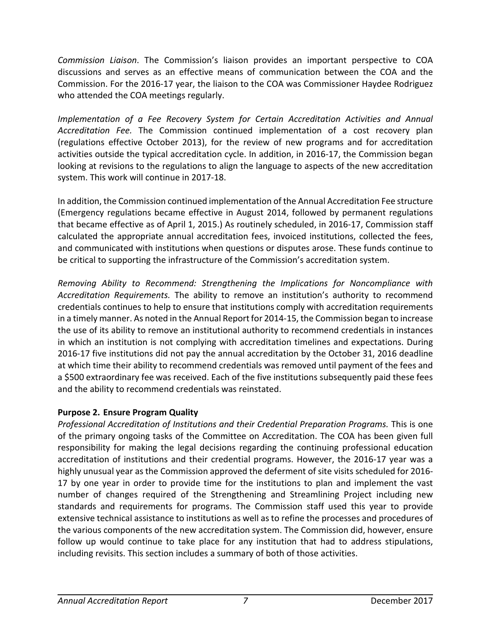*Commission Liaison*. The Commission's liaison provides an important perspective to COA discussions and serves as an effective means of communication between the COA and the Commission. For the 2016-17 year, the liaison to the COA was Commissioner Haydee Rodriguez who attended the COA meetings regularly.

*Implementation of a Fee Recovery System for Certain Accreditation Activities and Annual Accreditation Fee.* The Commission continued implementation of a cost recovery plan (regulations effective October 2013), for the review of new programs and for accreditation activities outside the typical accreditation cycle. In addition, in 2016-17, the Commission began looking at revisions to the regulations to align the language to aspects of the new accreditation system. This work will continue in 2017-18.

In addition, the Commission continued implementation of the Annual Accreditation Fee structure (Emergency regulations became effective in August 2014, followed by permanent regulations that became effective as of April 1, 2015.) As routinely scheduled, in 2016-17, Commission staff calculated the appropriate annual accreditation fees, invoiced institutions, collected the fees, and communicated with institutions when questions or disputes arose. These funds continue to be critical to supporting the infrastructure of the Commission's accreditation system.

*Removing Ability to Recommend: Strengthening the Implications for Noncompliance with Accreditation Requirements.* The ability to remove an institution's authority to recommend credentials continues to help to ensure that institutions comply with accreditation requirements in a timely manner. As noted in the Annual Report for 2014-15, the Commission began to increase the use of its ability to remove an institutional authority to recommend credentials in instances in which an institution is not complying with accreditation timelines and expectations. During 2016-17 five institutions did not pay the annual accreditation by the October 31, 2016 deadline at which time their ability to recommend credentials was removed until payment of the fees and a \$500 extraordinary fee was received. Each of the five institutions subsequently paid these fees and the ability to recommend credentials was reinstated.

# **Purpose 2. Ensure Program Quality**

*Professional Accreditation of Institutions and their Credential Preparation Programs.* This is one of the primary ongoing tasks of the Committee on Accreditation. The COA has been given full responsibility for making the legal decisions regarding the continuing professional education accreditation of institutions and their credential programs. However, the 2016-17 year was a highly unusual year as the Commission approved the deferment of site visits scheduled for 2016- 17 by one year in order to provide time for the institutions to plan and implement the vast number of changes required of the Strengthening and Streamlining Project including new standards and requirements for programs. The Commission staff used this year to provide extensive technical assistance to institutions as well as to refine the processes and procedures of the various components of the new accreditation system. The Commission did, however, ensure follow up would continue to take place for any institution that had to address stipulations, including revisits. This section includes a summary of both of those activities.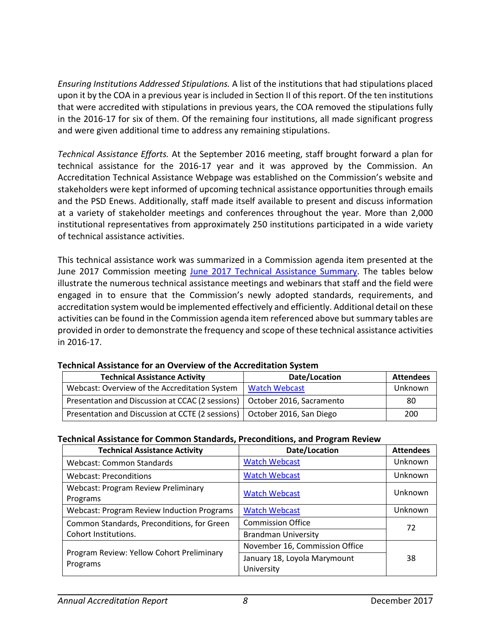*Ensuring Institutions Addressed Stipulations.* A list of the institutions that had stipulations placed upon it by the COA in a previous year is included in Section II of this report. Of the ten institutions that were accredited with stipulations in previous years, the COA removed the stipulations fully in the 2016-17 for six of them. Of the remaining four institutions, all made significant progress and were given additional time to address any remaining stipulations.

*Technical Assistance Efforts.* At the September 2016 meeting, staff brought forward a plan for technical assistance for the 2016-17 year and it was approved by the Commission. An Accreditation Technical Assistance Webpage was established on the Commission's website and stakeholders were kept informed of upcoming technical assistance opportunities through emails and the PSD Enews. Additionally, staff made itself available to present and discuss information at a variety of stakeholder meetings and conferences throughout the year. More than 2,000 institutional representatives from approximately 250 institutions participated in a wide variety of technical assistance activities.

This technical assistance work was summarized in a Commission agenda item presented at the June 2017 Commission meeting [June 2017 Technical Assistance Summary.](https://www.ctc.ca.gov/docs/default-source/commission/agendas/2017-06/2017-06-3a.pdf?sfvrsn=82e342b1_2) The tables below illustrate the numerous technical assistance meetings and webinars that staff and the field were engaged in to ensure that the Commission's newly adopted standards, requirements, and accreditation system would be implemented effectively and efficiently. Additional detail on these activities can be found in the Commission agenda item referenced above but summary tables are provided in order to demonstrate the frequency and scope of these technical assistance activities in 2016-17.

| <b>Technical Assistance Activity</b>                                        | Date/Location | <b>Attendees</b> |
|-----------------------------------------------------------------------------|---------------|------------------|
| Webcast: Overview of the Accreditation System   Watch Webcast               |               | Unknown          |
| Presentation and Discussion at CCAC (2 sessions)   October 2016, Sacramento |               | 80               |
| Presentation and Discussion at CCTE (2 sessions)   October 2016, San Diego  |               | 200              |

#### **Technical Assistance for an Overview of the Accreditation System**

#### **Technical Assistance for Common Standards, Preconditions, and Program Review**

| <b>Technical Assistance Activity</b>                   | Date/Location                              | <b>Attendees</b> |
|--------------------------------------------------------|--------------------------------------------|------------------|
| Webcast: Common Standards                              | <b>Watch Webcast</b>                       | Unknown          |
| <b>Webcast: Preconditions</b>                          | <b>Watch Webcast</b>                       | Unknown          |
| <b>Webcast: Program Review Preliminary</b><br>Programs | <b>Watch Webcast</b>                       | Unknown          |
| <b>Webcast: Program Review Induction Programs</b>      | <b>Watch Webcast</b>                       | Unknown          |
| Common Standards, Preconditions, for Green             | <b>Commission Office</b>                   | 72               |
| Cohort Institutions.                                   | <b>Brandman University</b>                 |                  |
|                                                        | November 16, Commission Office             |                  |
| Program Review: Yellow Cohort Preliminary<br>Programs  | January 18, Loyola Marymount<br>University | 38               |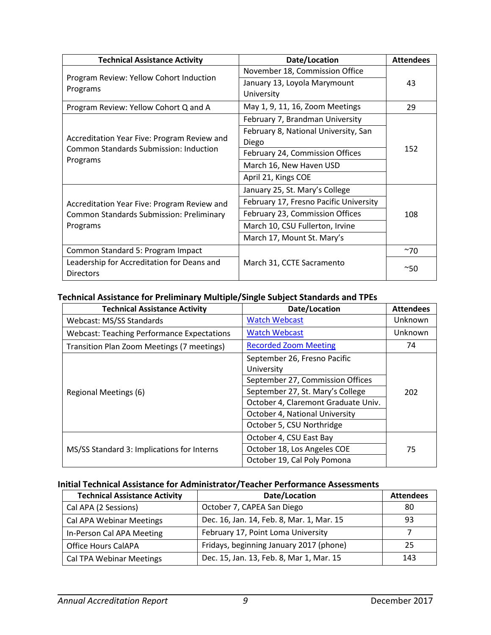| <b>Technical Assistance Activity</b>                                                                       | Date/Location                          | <b>Attendees</b> |
|------------------------------------------------------------------------------------------------------------|----------------------------------------|------------------|
|                                                                                                            | November 18, Commission Office         |                  |
| Program Review: Yellow Cohort Induction                                                                    | January 13, Loyola Marymount           | 43               |
| Programs                                                                                                   | University                             |                  |
| Program Review: Yellow Cohort Q and A                                                                      | May 1, 9, 11, 16, Zoom Meetings        | 29               |
|                                                                                                            | February 7, Brandman University        |                  |
|                                                                                                            | February 8, National University, San   |                  |
| Accreditation Year Five: Program Review and                                                                | Diego                                  | 152              |
| <b>Common Standards Submission: Induction</b><br>Programs                                                  | February 24, Commission Offices        |                  |
|                                                                                                            | March 16, New Haven USD                |                  |
|                                                                                                            | April 21, Kings COE                    |                  |
|                                                                                                            | January 25, St. Mary's College         |                  |
| Accreditation Year Five: Program Review and<br><b>Common Standards Submission: Preliminary</b><br>Programs | February 17, Fresno Pacific University |                  |
|                                                                                                            | February 23, Commission Offices        | 108              |
|                                                                                                            | March 10, CSU Fullerton, Irvine        |                  |
|                                                                                                            | March 17, Mount St. Mary's             |                  |
| Common Standard 5: Program Impact                                                                          |                                        | ~10              |
| Leadership for Accreditation for Deans and                                                                 | March 31, CCTE Sacramento              | $^{\sim}50$      |
| <b>Directors</b>                                                                                           |                                        |                  |

## **Technical Assistance for Preliminary Multiple/Single Subject Standards and TPEs**

| <b>Technical Assistance Activity</b>              | Date/Location                              | <b>Attendees</b> |
|---------------------------------------------------|--------------------------------------------|------------------|
| Webcast: MS/SS Standards                          | <b>Watch Webcast</b>                       | Unknown          |
| <b>Webcast: Teaching Performance Expectations</b> | <b>Watch Webcast</b>                       | Unknown          |
| Transition Plan Zoom Meetings (7 meetings)        | <b>Recorded Zoom Meeting</b>               | 74               |
| Regional Meetings (6)                             | September 26, Fresno Pacific<br>University |                  |
|                                                   | September 27, Commission Offices           |                  |
|                                                   | September 27, St. Mary's College           | 202              |
|                                                   | October 4, Claremont Graduate Univ.        |                  |
|                                                   | October 4, National University             |                  |
|                                                   | October 5, CSU Northridge                  |                  |
|                                                   | October 4, CSU East Bay                    |                  |
| MS/SS Standard 3: Implications for Interns        | October 18, Los Angeles COE                | 75               |
|                                                   | October 19, Cal Poly Pomona                |                  |

# **Initial Technical Assistance for Administrator/Teacher Performance Assessments**

| <b>Technical Assistance Activity</b> | Date/Location                             | <b>Attendees</b> |
|--------------------------------------|-------------------------------------------|------------------|
| Cal APA (2 Sessions)                 | October 7, CAPEA San Diego                | 80               |
| Cal APA Webinar Meetings             | Dec. 16, Jan. 14, Feb. 8, Mar. 1, Mar. 15 | 93               |
| In-Person Cal APA Meeting            | February 17, Point Loma University        |                  |
| <b>Office Hours CalAPA</b>           | Fridays, beginning January 2017 (phone)   | 25               |
| <b>Cal TPA Webinar Meetings</b>      | Dec. 15, Jan. 13, Feb. 8, Mar 1, Mar. 15  | 143              |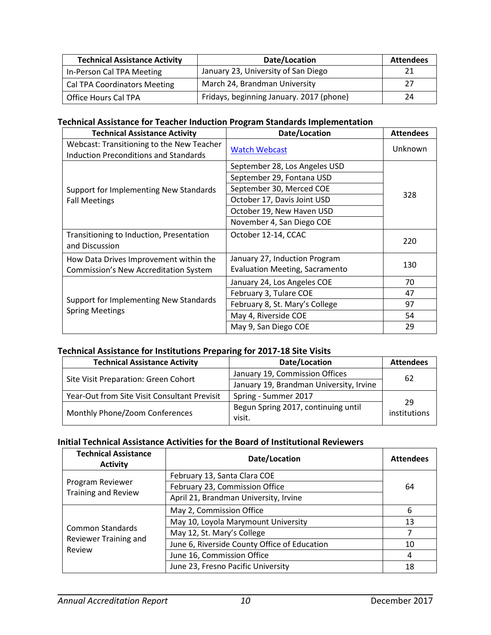| <b>Technical Assistance Activity</b> | Date/Location                            | <b>Attendees</b> |
|--------------------------------------|------------------------------------------|------------------|
| In-Person Cal TPA Meeting            | January 23, University of San Diego      |                  |
| <b>Cal TPA Coordinators Meeting</b>  | March 24, Brandman University            |                  |
| <b>Office Hours Cal TPA</b>          | Fridays, beginning January. 2017 (phone) | 24               |

#### **Technical Assistance for Teacher Induction Program Standards Implementation**

| <b>Technical Assistance Activity</b>                                                      | Date/Location                                                                                                                                                                   | <b>Attendees</b> |
|-------------------------------------------------------------------------------------------|---------------------------------------------------------------------------------------------------------------------------------------------------------------------------------|------------------|
| Webcast: Transitioning to the New Teacher<br><b>Induction Preconditions and Standards</b> | <b>Watch Webcast</b>                                                                                                                                                            | Unknown          |
| Support for Implementing New Standards<br><b>Fall Meetings</b>                            | September 28, Los Angeles USD<br>September 29, Fontana USD<br>September 30, Merced COE<br>October 17, Davis Joint USD<br>October 19, New Haven USD<br>November 4, San Diego COE | 328              |
| Transitioning to Induction, Presentation<br>and Discussion                                | October 12-14, CCAC                                                                                                                                                             | 220              |
| How Data Drives Improvement within the<br>Commission's New Accreditation System           | January 27, Induction Program<br>Evaluation Meeting, Sacramento                                                                                                                 | 130              |
|                                                                                           | January 24, Los Angeles COE                                                                                                                                                     | 70               |
| Support for Implementing New Standards<br><b>Spring Meetings</b>                          | February 3, Tulare COE                                                                                                                                                          | 47               |
|                                                                                           | February 8, St. Mary's College                                                                                                                                                  | 97               |
|                                                                                           | May 4, Riverside COE                                                                                                                                                            | 54               |
|                                                                                           | May 9, San Diego COE                                                                                                                                                            | 29               |

## **Technical Assistance for Institutions Preparing for 2017-18 Site Visits**

| <b>Technical Assistance Activity</b>         | Date/Location                                 | <b>Attendees</b>   |
|----------------------------------------------|-----------------------------------------------|--------------------|
|                                              | January 19, Commission Offices                | 62                 |
| Site Visit Preparation: Green Cohort         | January 19, Brandman University, Irvine       |                    |
| Year-Out from Site Visit Consultant Previsit | Spring - Summer 2017                          |                    |
| Monthly Phone/Zoom Conferences               | Begun Spring 2017, continuing until<br>visit. | 29<br>institutions |

#### **Initial Technical Assistance Activities for the Board of Institutional Reviewers**

| <b>Technical Assistance</b><br><b>Activity</b>      | Date/Location                                | <b>Attendees</b> |
|-----------------------------------------------------|----------------------------------------------|------------------|
|                                                     | February 13, Santa Clara COE                 |                  |
| Program Reviewer<br><b>Training and Review</b>      | February 23, Commission Office               | 64               |
|                                                     | April 21, Brandman University, Irvine        |                  |
| Common Standards<br>Reviewer Training and<br>Review | May 2, Commission Office                     | 6                |
|                                                     | May 10, Loyola Marymount University          | 13               |
|                                                     | May 12, St. Mary's College                   |                  |
|                                                     | June 6, Riverside County Office of Education | 10               |
|                                                     | June 16, Commission Office                   | 4                |
|                                                     | June 23, Fresno Pacific University           | 18               |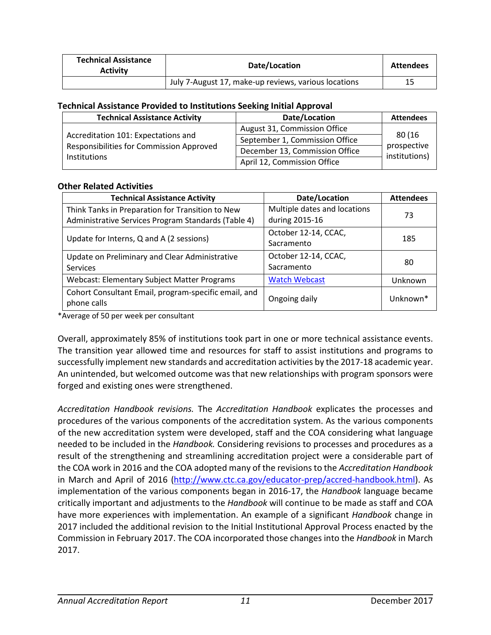| <b>Technical Assistance</b><br><b>Activity</b> | Date/Location                                        | <b>Attendees</b> |
|------------------------------------------------|------------------------------------------------------|------------------|
|                                                | July 7-August 17, make-up reviews, various locations |                  |

#### **Technical Assistance Provided to Institutions Seeking Initial Approval**

| <b>Technical Assistance Activity</b>                                                                   | Date/Location                  | <b>Attendees</b>                       |
|--------------------------------------------------------------------------------------------------------|--------------------------------|----------------------------------------|
| Accreditation 101: Expectations and<br>Responsibilities for Commission Approved<br><b>Institutions</b> | August 31, Commission Office   |                                        |
|                                                                                                        | September 1, Commission Office | 80 (16<br>prospective<br>institutions) |
|                                                                                                        | December 13, Commission Office |                                        |
|                                                                                                        | April 12, Commission Office    |                                        |

#### **Other Related Activities**

| <b>Technical Assistance Activity</b>                                | Date/Location                | <b>Attendees</b>     |
|---------------------------------------------------------------------|------------------------------|----------------------|
| Think Tanks in Preparation for Transition to New                    | Multiple dates and locations | 73                   |
| Administrative Services Program Standards (Table 4)                 | during 2015-16               |                      |
|                                                                     | October 12-14, CCAC,         |                      |
| Update for Interns, Q and A (2 sessions)                            | Sacramento                   | 185                  |
| Update on Preliminary and Clear Administrative                      | October 12-14, CCAC,         |                      |
| Services                                                            | Sacramento                   | 80                   |
| Webcast: Elementary Subject Matter Programs                         | <b>Watch Webcast</b>         | Unknown              |
| Cohort Consultant Email, program-specific email, and<br>phone calls | Ongoing daily                | Unknown <sup>*</sup> |

\*Average of 50 per week per consultant

Overall, approximately 85% of institutions took part in one or more technical assistance events. The transition year allowed time and resources for staff to assist institutions and programs to successfully implement new standards and accreditation activities by the 2017-18 academic year. An unintended, but welcomed outcome was that new relationships with program sponsors were forged and existing ones were strengthened.

*Accreditation Handbook revisions.* The *Accreditation Handbook* explicates the processes and procedures of the various components of the accreditation system. As the various components of the new accreditation system were developed, staff and the COA considering what language needed to be included in the *Handbook.* Considering revisions to processes and procedures as a result of the strengthening and streamlining accreditation project were a considerable part of the COA work in 2016 and the COA adopted many of the revisions to the *Accreditation Handbook* in March and April of 2016 [\(http://www.ctc.ca.gov/educator-prep/accred-handbook.html\)](http://www.ctc.ca.gov/educator-prep/accred-handbook.html). As implementation of the various components began in 2016-17, the *Handbook* language became critically important and adjustments to the *Handbook* will continue to be made as staff and COA have more experiences with implementation. An example of a significant *Handbook* change in 2017 included the additional revision to the Initial Institutional Approval Process enacted by the Commission in February 2017. The COA incorporated those changes into the *Handbook* in March 2017.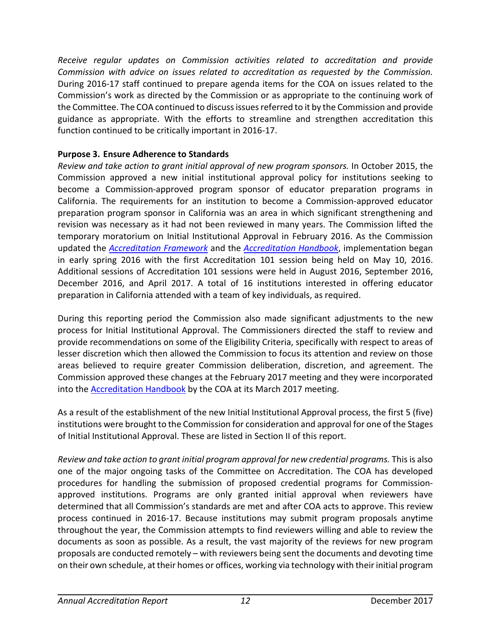*Receive regular updates on Commission activities related to accreditation and provide Commission with advice on issues related to accreditation as requested by the Commission.*  During 2016-17 staff continued to prepare agenda items for the COA on issues related to the Commission's work as directed by the Commission or as appropriate to the continuing work of the Committee. The COA continued to discuss issues referred to it by the Commission and provide guidance as appropriate. With the efforts to streamline and strengthen accreditation this function continued to be critically important in 2016-17.

## **Purpose 3. Ensure Adherence to Standards**

*Review and take action to grant initial approval of new program sponsors.* In October 2015, the Commission approved a new initial institutional approval policy for institutions seeking to become a Commission-approved program sponsor of educator preparation programs in California. The requirements for an institution to become a Commission-approved educator preparation program sponsor in California was an area in which significant strengthening and revision was necessary as it had not been reviewed in many years. The Commission lifted the temporary moratorium on Initial Institutional Approval in February 2016. As the Commission updated the *[Accreditation Framework](https://www.ctc.ca.gov/docs/default-source/educator-prep/accred-files/accred-framework-2016-02.pdf)* and the *[Accreditation Handbook](https://www.ctc.ca.gov/educator-prep/accred-handbook)*, implementation began in early spring 2016 with the first Accreditation 101 session being held on May 10, 2016. Additional sessions of Accreditation 101 sessions were held in August 2016, September 2016, December 2016, and April 2017. A total of 16 institutions interested in offering educator preparation in California attended with a team of key individuals, as required.

During this reporting period the Commission also made significant adjustments to the new process for Initial Institutional Approval. The Commissioners directed the staff to review and provide recommendations on some of the Eligibility Criteria, specifically with respect to areas of lesser discretion which then allowed the Commission to focus its attention and review on those areas believed to require greater Commission deliberation, discretion, and agreement. The Commission approved these changes at the February 2017 meeting and they were incorporated into the [Accreditation Handbook](https://www.ctc.ca.gov/educator-prep/accred-handbook) by the COA at its March 2017 meeting.

As a result of the establishment of the new Initial Institutional Approval process, the first 5 (five) institutions were brought to the Commission for consideration and approval for one of the Stages of Initial Institutional Approval. These are listed in Section II of this report.

*Review and take action to grant initial program approval for new credential programs.* This is also one of the major ongoing tasks of the Committee on Accreditation. The COA has developed procedures for handling the submission of proposed credential programs for Commissionapproved institutions. Programs are only granted initial approval when reviewers have determined that all Commission's standards are met and after COA acts to approve. This review process continued in 2016-17. Because institutions may submit program proposals anytime throughout the year, the Commission attempts to find reviewers willing and able to review the documents as soon as possible. As a result, the vast majority of the reviews for new program proposals are conducted remotely – with reviewers being sent the documents and devoting time on their own schedule, at their homes or offices, working via technology with their initial program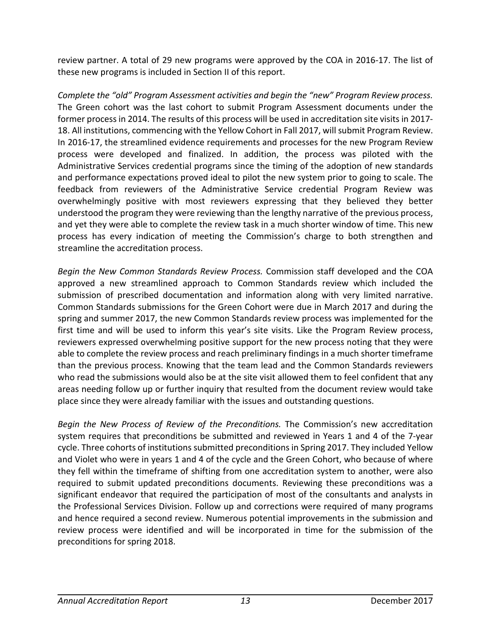review partner. A total of 29 new programs were approved by the COA in 2016-17. The list of these new programs is included in Section II of this report.

*Complete the "old" Program Assessment activities and begin the "new" Program Review process.* The Green cohort was the last cohort to submit Program Assessment documents under the former process in 2014. The results of this process will be used in accreditation site visits in 2017- 18. All institutions, commencing with the Yellow Cohort in Fall 2017, will submit Program Review. In 2016-17, the streamlined evidence requirements and processes for the new Program Review process were developed and finalized. In addition, the process was piloted with the Administrative Services credential programs since the timing of the adoption of new standards and performance expectations proved ideal to pilot the new system prior to going to scale. The feedback from reviewers of the Administrative Service credential Program Review was overwhelmingly positive with most reviewers expressing that they believed they better understood the program they were reviewing than the lengthy narrative of the previous process, and yet they were able to complete the review task in a much shorter window of time. This new process has every indication of meeting the Commission's charge to both strengthen and streamline the accreditation process.

*Begin the New Common Standards Review Process.* Commission staff developed and the COA approved a new streamlined approach to Common Standards review which included the submission of prescribed documentation and information along with very limited narrative. Common Standards submissions for the Green Cohort were due in March 2017 and during the spring and summer 2017, the new Common Standards review process was implemented for the first time and will be used to inform this year's site visits. Like the Program Review process, reviewers expressed overwhelming positive support for the new process noting that they were able to complete the review process and reach preliminary findings in a much shorter timeframe than the previous process. Knowing that the team lead and the Common Standards reviewers who read the submissions would also be at the site visit allowed them to feel confident that any areas needing follow up or further inquiry that resulted from the document review would take place since they were already familiar with the issues and outstanding questions.

*Begin the New Process of Review of the Preconditions.* The Commission's new accreditation system requires that preconditions be submitted and reviewed in Years 1 and 4 of the 7-year cycle. Three cohorts of institutions submitted preconditionsin Spring 2017. They included Yellow and Violet who were in years 1 and 4 of the cycle and the Green Cohort, who because of where they fell within the timeframe of shifting from one accreditation system to another, were also required to submit updated preconditions documents. Reviewing these preconditions was a significant endeavor that required the participation of most of the consultants and analysts in the Professional Services Division. Follow up and corrections were required of many programs and hence required a second review. Numerous potential improvements in the submission and review process were identified and will be incorporated in time for the submission of the preconditions for spring 2018.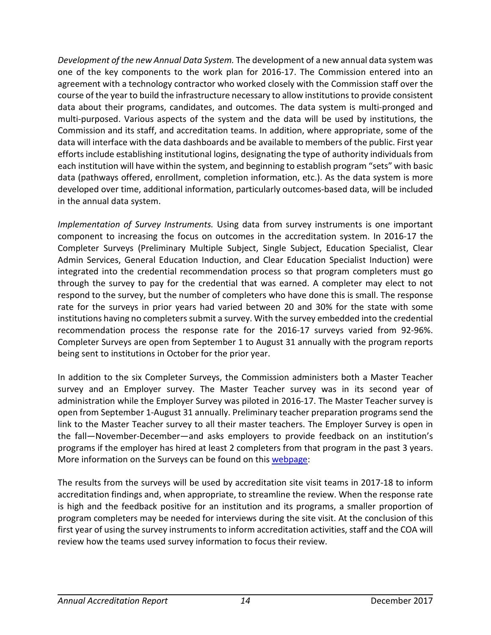*Development of the new Annual Data System.* The development of a new annual data system was one of the key components to the work plan for 2016-17. The Commission entered into an agreement with a technology contractor who worked closely with the Commission staff over the course of the year to build the infrastructure necessary to allow institutions to provide consistent data about their programs, candidates, and outcomes. The data system is multi-pronged and multi-purposed. Various aspects of the system and the data will be used by institutions, the Commission and its staff, and accreditation teams. In addition, where appropriate, some of the data will interface with the data dashboards and be available to members of the public. First year efforts include establishing institutional logins, designating the type of authority individuals from each institution will have within the system, and beginning to establish program "sets" with basic data (pathways offered, enrollment, completion information, etc.). As the data system is more developed over time, additional information, particularly outcomes-based data, will be included in the annual data system.

*Implementation of Survey Instruments.* Using data from survey instruments is one important component to increasing the focus on outcomes in the accreditation system. In 2016-17 the Completer Surveys (Preliminary Multiple Subject, Single Subject, Education Specialist, Clear Admin Services, General Education Induction, and Clear Education Specialist Induction) were integrated into the credential recommendation process so that program completers must go through the survey to pay for the credential that was earned. A completer may elect to not respond to the survey, but the number of completers who have done this is small. The response rate for the surveys in prior years had varied between 20 and 30% for the state with some institutions having no completers submit a survey. With the survey embedded into the credential recommendation process the response rate for the 2016-17 surveys varied from 92-96%. Completer Surveys are open from September 1 to August 31 annually with the program reports being sent to institutions in October for the prior year.

In addition to the six Completer Surveys, the Commission administers both a Master Teacher survey and an Employer survey. The Master Teacher survey was in its second year of administration while the Employer Survey was piloted in 2016-17. The Master Teacher survey is open from September 1-August 31 annually. Preliminary teacher preparation programs send the link to the Master Teacher survey to all their master teachers. The Employer Survey is open in the fall—November-December—and asks employers to provide feedback on an institution's programs if the employer has hired at least 2 completers from that program in the past 3 years. More information on the Surveys can be found on this [webpage:](https://www.ctc.ca.gov/educator-prep/completer-surveys)

The results from the surveys will be used by accreditation site visit teams in 2017-18 to inform accreditation findings and, when appropriate, to streamline the review. When the response rate is high and the feedback positive for an institution and its programs, a smaller proportion of program completers may be needed for interviews during the site visit. At the conclusion of this first year of using the survey instruments to inform accreditation activities, staff and the COA will review how the teams used survey information to focus their review.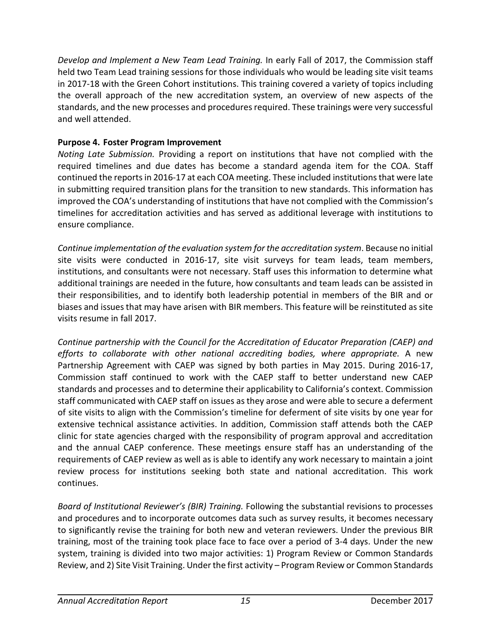*Develop and Implement a New Team Lead Training.* In early Fall of 2017, the Commission staff held two Team Lead training sessions for those individuals who would be leading site visit teams in 2017-18 with the Green Cohort institutions. This training covered a variety of topics including the overall approach of the new accreditation system, an overview of new aspects of the standards, and the new processes and procedures required. These trainings were very successful and well attended.

## **Purpose 4. Foster Program Improvement**

*Noting Late Submission.* Providing a report on institutions that have not complied with the required timelines and due dates has become a standard agenda item for the COA. Staff continued the reportsin 2016-17 at each COA meeting. These included institutions that were late in submitting required transition plans for the transition to new standards. This information has improved the COA's understanding of institutions that have not complied with the Commission's timelines for accreditation activities and has served as additional leverage with institutions to ensure compliance.

*Continue implementation of the evaluation system for the accreditation system*. Because no initial site visits were conducted in 2016-17, site visit surveys for team leads, team members, institutions, and consultants were not necessary. Staff uses this information to determine what additional trainings are needed in the future, how consultants and team leads can be assisted in their responsibilities, and to identify both leadership potential in members of the BIR and or biases and issues that may have arisen with BIR members. This feature will be reinstituted as site visits resume in fall 2017.

*Continue partnership with the Council for the Accreditation of Educator Preparation (CAEP) and efforts to collaborate with other national accrediting bodies, where appropriate.* A new Partnership Agreement with CAEP was signed by both parties in May 2015. During 2016-17, Commission staff continued to work with the CAEP staff to better understand new CAEP standards and processes and to determine their applicability to California's context. Commission staff communicated with CAEP staff on issues as they arose and were able to secure a deferment of site visits to align with the Commission's timeline for deferment of site visits by one year for extensive technical assistance activities. In addition, Commission staff attends both the CAEP clinic for state agencies charged with the responsibility of program approval and accreditation and the annual CAEP conference. These meetings ensure staff has an understanding of the requirements of CAEP review as well as is able to identify any work necessary to maintain a joint review process for institutions seeking both state and national accreditation. This work continues.

*Board of Institutional Reviewer's (BIR) Training.* Following the substantial revisions to processes and procedures and to incorporate outcomes data such as survey results, it becomes necessary to significantly revise the training for both new and veteran reviewers. Under the previous BIR training, most of the training took place face to face over a period of 3-4 days. Under the new system, training is divided into two major activities: 1) Program Review or Common Standards Review, and 2) Site Visit Training. Under the first activity – Program Review or Common Standards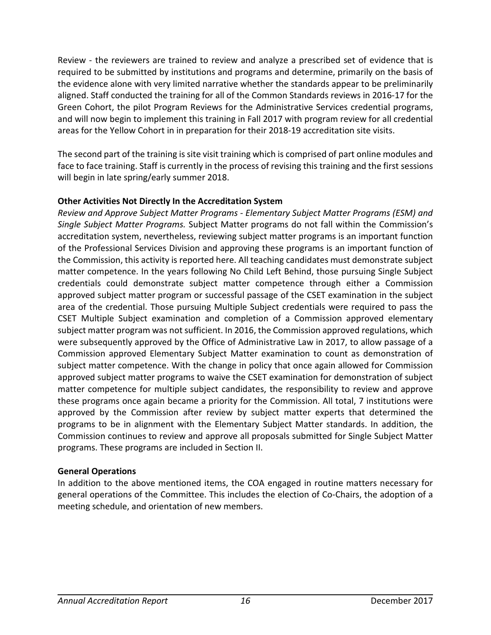Review - the reviewers are trained to review and analyze a prescribed set of evidence that is required to be submitted by institutions and programs and determine, primarily on the basis of the evidence alone with very limited narrative whether the standards appear to be preliminarily aligned. Staff conducted the training for all of the Common Standards reviews in 2016-17 for the Green Cohort, the pilot Program Reviews for the Administrative Services credential programs, and will now begin to implement this training in Fall 2017 with program review for all credential areas for the Yellow Cohort in in preparation for their 2018-19 accreditation site visits.

The second part of the training is site visit training which is comprised of part online modules and face to face training. Staff is currently in the process of revising this training and the first sessions will begin in late spring/early summer 2018.

## **Other Activities Not Directly In the Accreditation System**

*Review and Approve Subject Matter Programs - Elementary Subject Matter Programs (ESM) and Single Subject Matter Programs.* Subject Matter programs do not fall within the Commission's accreditation system, nevertheless, reviewing subject matter programs is an important function of the Professional Services Division and approving these programs is an important function of the Commission, this activity is reported here. All teaching candidates must demonstrate subject matter competence. In the years following No Child Left Behind, those pursuing Single Subject credentials could demonstrate subject matter competence through either a Commission approved subject matter program or successful passage of the CSET examination in the subject area of the credential. Those pursuing Multiple Subject credentials were required to pass the CSET Multiple Subject examination and completion of a Commission approved elementary subject matter program was not sufficient. In 2016, the Commission approved regulations, which were subsequently approved by the Office of Administrative Law in 2017, to allow passage of a Commission approved Elementary Subject Matter examination to count as demonstration of subject matter competence. With the change in policy that once again allowed for Commission approved subject matter programs to waive the CSET examination for demonstration of subject matter competence for multiple subject candidates, the responsibility to review and approve these programs once again became a priority for the Commission. All total, 7 institutions were approved by the Commission after review by subject matter experts that determined the programs to be in alignment with the Elementary Subject Matter standards. In addition, the Commission continues to review and approve all proposals submitted for Single Subject Matter programs. These programs are included in Section II.

#### **General Operations**

In addition to the above mentioned items, the COA engaged in routine matters necessary for general operations of the Committee. This includes the election of Co-Chairs, the adoption of a meeting schedule, and orientation of new members.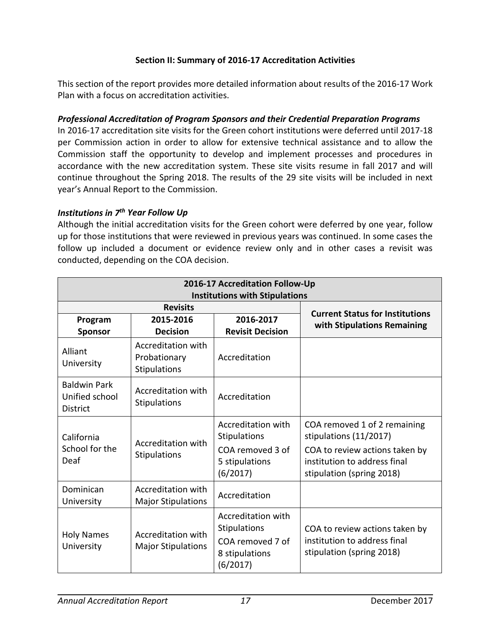## **Section II: Summary of 2016-17 Accreditation Activities**

This section of the report provides more detailed information about results of the 2016-17 Work Plan with a focus on accreditation activities.

#### *Professional Accreditation of Program Sponsors and their Credential Preparation Programs*

In 2016-17 accreditation site visits for the Green cohort institutions were deferred until 2017-18 per Commission action in order to allow for extensive technical assistance and to allow the Commission staff the opportunity to develop and implement processes and procedures in accordance with the new accreditation system. These site visits resume in fall 2017 and will continue throughout the Spring 2018. The results of the 29 site visits will be included in next year's Annual Report to the Commission.

#### *Institutions in 7th Year Follow Up*

Although the initial accreditation visits for the Green cohort were deferred by one year, follow up for those institutions that were reviewed in previous years was continued. In some cases the follow up included a document or evidence review only and in other cases a revisit was conducted, depending on the COA decision.

| 2016-17 Accreditation Follow-Up                          |                                                    |                                                                                             |                                                                                                                                                       |
|----------------------------------------------------------|----------------------------------------------------|---------------------------------------------------------------------------------------------|-------------------------------------------------------------------------------------------------------------------------------------------------------|
| <b>Institutions with Stipulations</b><br><b>Revisits</b> |                                                    |                                                                                             |                                                                                                                                                       |
| Program<br><b>Sponsor</b>                                | 2015-2016<br><b>Decision</b>                       | 2016-2017<br><b>Revisit Decision</b>                                                        | <b>Current Status for Institutions</b><br>with Stipulations Remaining                                                                                 |
| Alliant<br>University                                    | Accreditation with<br>Probationary<br>Stipulations | Accreditation                                                                               |                                                                                                                                                       |
| <b>Baldwin Park</b><br>Unified school<br><b>District</b> | Accreditation with<br><b>Stipulations</b>          | Accreditation                                                                               |                                                                                                                                                       |
| California<br>School for the<br>Deaf                     | Accreditation with<br>Stipulations                 | Accreditation with<br>Stipulations<br>COA removed 3 of<br>5 stipulations<br>(6/2017)        | COA removed 1 of 2 remaining<br>stipulations (11/2017)<br>COA to review actions taken by<br>institution to address final<br>stipulation (spring 2018) |
| Dominican<br>University                                  | Accreditation with<br><b>Major Stipulations</b>    | Accreditation                                                                               |                                                                                                                                                       |
| <b>Holy Names</b><br>University                          | Accreditation with<br><b>Major Stipulations</b>    | Accreditation with<br><b>Stipulations</b><br>COA removed 7 of<br>8 stipulations<br>(6/2017) | COA to review actions taken by<br>institution to address final<br>stipulation (spring 2018)                                                           |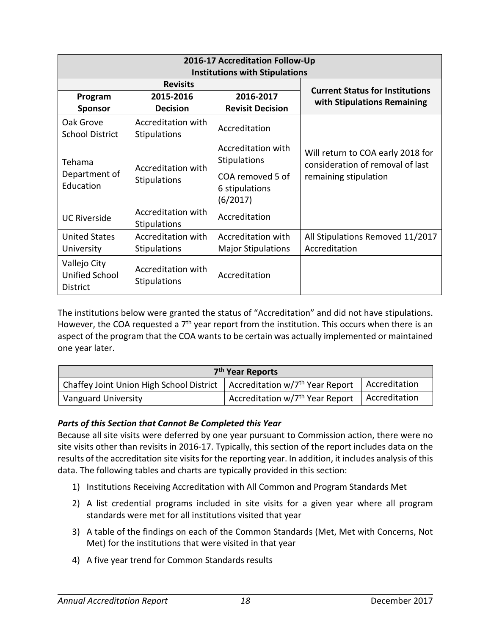| 2016-17 Accreditation Follow-Up<br><b>Institutions with Stipulations</b>          |                                                |                                                                       |                                                   |
|-----------------------------------------------------------------------------------|------------------------------------------------|-----------------------------------------------------------------------|---------------------------------------------------|
|                                                                                   | <b>Revisits</b>                                |                                                                       | <b>Current Status for Institutions</b>            |
| Program                                                                           | 2015-2016                                      | 2016-2017                                                             | with Stipulations Remaining                       |
| <b>Sponsor</b>                                                                    | <b>Decision</b>                                | <b>Revisit Decision</b>                                               |                                                   |
| Oak Grove<br><b>School District</b>                                               | Accreditation with<br><b>Stipulations</b>      | Accreditation                                                         |                                                   |
| Tehama<br>Accreditation with<br>Department of<br><b>Stipulations</b><br>Education | Accreditation with<br><b>Stipulations</b>      | Will return to COA early 2018 for<br>consideration of removal of last |                                                   |
|                                                                                   | COA removed 5 of<br>6 stipulations<br>(6/2017) | remaining stipulation                                                 |                                                   |
| <b>UC Riverside</b>                                                               | Accreditation with<br><b>Stipulations</b>      | Accreditation                                                         |                                                   |
| <b>United States</b><br>University                                                | Accreditation with<br><b>Stipulations</b>      | Accreditation with<br><b>Major Stipulations</b>                       | All Stipulations Removed 11/2017<br>Accreditation |
| Vallejo City<br>Unified School<br><b>District</b>                                 | Accreditation with<br><b>Stipulations</b>      | Accreditation                                                         |                                                   |

The institutions below were granted the status of "Accreditation" and did not have stipulations. However, the COA requested a  $7<sup>th</sup>$  year report from the institution. This occurs when there is an aspect of the program that the COA wants to be certain was actually implemented or maintained one year later.

|                                                                                        | 7 <sup>th</sup> Year Reports                |               |
|----------------------------------------------------------------------------------------|---------------------------------------------|---------------|
| Chaffey Joint Union High School District   Accreditation w/7 <sup>th</sup> Year Report |                                             | Accreditation |
| <b>Vanguard University</b>                                                             | Accreditation w/7 <sup>th</sup> Year Report | Accreditation |

## *Parts of this Section that Cannot Be Completed this Year*

Because all site visits were deferred by one year pursuant to Commission action, there were no site visits other than revisits in 2016-17. Typically, this section of the report includes data on the results of the accreditation site visits for the reporting year. In addition, it includes analysis of this data. The following tables and charts are typically provided in this section:

- 1) Institutions Receiving Accreditation with All Common and Program Standards Met
- 2) A list credential programs included in site visits for a given year where all program standards were met for all institutions visited that year
- 3) A table of the findings on each of the Common Standards (Met, Met with Concerns, Not Met) for the institutions that were visited in that year
- 4) A five year trend for Common Standards results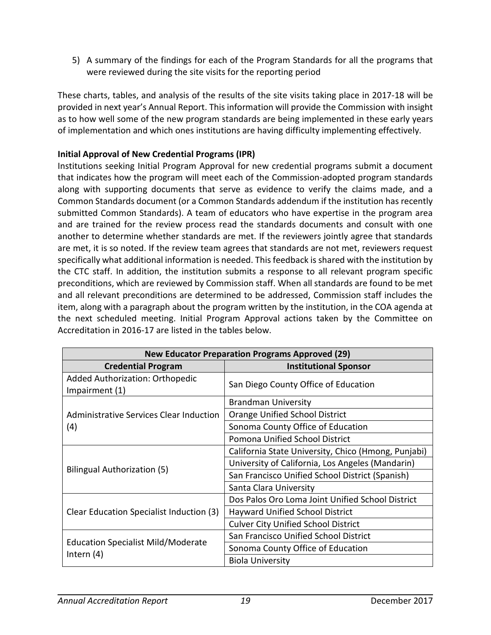5) A summary of the findings for each of the Program Standards for all the programs that were reviewed during the site visits for the reporting period

These charts, tables, and analysis of the results of the site visits taking place in 2017-18 will be provided in next year's Annual Report. This information will provide the Commission with insight as to how well some of the new program standards are being implemented in these early years of implementation and which ones institutions are having difficulty implementing effectively.

## **Initial Approval of New Credential Programs (IPR)**

Institutions seeking Initial Program Approval for new credential programs submit a document that indicates how the program will meet each of the Commission-adopted program standards along with supporting documents that serve as evidence to verify the claims made, and a Common Standards document (or a Common Standards addendum if the institution has recently submitted Common Standards). A team of educators who have expertise in the program area and are trained for the review process read the standards documents and consult with one another to determine whether standards are met. If the reviewers jointly agree that standards are met, it is so noted. If the review team agrees that standards are not met, reviewers request specifically what additional information is needed. This feedback is shared with the institution by the CTC staff. In addition, the institution submits a response to all relevant program specific preconditions, which are reviewed by Commission staff. When all standards are found to be met and all relevant preconditions are determined to be addressed, Commission staff includes the item, along with a paragraph about the program written by the institution, in the COA agenda at the next scheduled meeting. Initial Program Approval actions taken by the Committee on Accreditation in 2016-17 are listed in the tables below.

| <b>New Educator Preparation Programs Approved (29)</b> |                                                     |  |
|--------------------------------------------------------|-----------------------------------------------------|--|
| <b>Credential Program</b>                              | <b>Institutional Sponsor</b>                        |  |
| Added Authorization: Orthopedic<br>Impairment (1)      | San Diego County Office of Education                |  |
|                                                        | <b>Brandman University</b>                          |  |
| Administrative Services Clear Induction                | Orange Unified School District                      |  |
| (4)                                                    | Sonoma County Office of Education                   |  |
|                                                        | Pomona Unified School District                      |  |
|                                                        | California State University, Chico (Hmong, Punjabi) |  |
|                                                        | University of California, Los Angeles (Mandarin)    |  |
| Bilingual Authorization (5)                            | San Francisco Unified School District (Spanish)     |  |
|                                                        | Santa Clara University                              |  |
|                                                        | Dos Palos Oro Loma Joint Unified School District    |  |
| Clear Education Specialist Induction (3)               | Hayward Unified School District                     |  |
|                                                        | <b>Culver City Unified School District</b>          |  |
| <b>Education Specialist Mild/Moderate</b>              | San Francisco Unified School District               |  |
|                                                        | Sonoma County Office of Education                   |  |
| Intern $(4)$                                           | <b>Biola University</b>                             |  |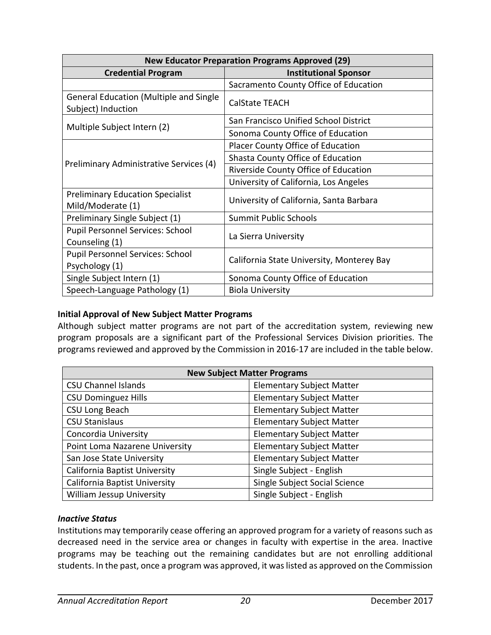| <b>New Educator Preparation Programs Approved (29)</b>              |                                           |  |
|---------------------------------------------------------------------|-------------------------------------------|--|
| <b>Credential Program</b>                                           | <b>Institutional Sponsor</b>              |  |
|                                                                     | Sacramento County Office of Education     |  |
| <b>General Education (Multiple and Single</b><br>Subject) Induction | <b>CalState TEACH</b>                     |  |
|                                                                     | San Francisco Unified School District     |  |
| Multiple Subject Intern (2)                                         | Sonoma County Office of Education         |  |
|                                                                     | Placer County Office of Education         |  |
|                                                                     | Shasta County Office of Education         |  |
| Preliminary Administrative Services (4)                             | Riverside County Office of Education      |  |
|                                                                     | University of California, Los Angeles     |  |
| <b>Preliminary Education Specialist</b><br>Mild/Moderate (1)        | University of California, Santa Barbara   |  |
| Preliminary Single Subject (1)                                      | <b>Summit Public Schools</b>              |  |
| Pupil Personnel Services: School<br>Counseling (1)                  | La Sierra University                      |  |
| Pupil Personnel Services: School                                    | California State University, Monterey Bay |  |
| Psychology (1)                                                      |                                           |  |
| Single Subject Intern (1)                                           | Sonoma County Office of Education         |  |
| Speech-Language Pathology (1)                                       | <b>Biola University</b>                   |  |

#### **Initial Approval of New Subject Matter Programs**

Although subject matter programs are not part of the accreditation system, reviewing new program proposals are a significant part of the Professional Services Division priorities. The programs reviewed and approved by the Commission in 2016-17 are included in the table below.

| <b>New Subject Matter Programs</b>   |                                  |  |
|--------------------------------------|----------------------------------|--|
| <b>CSU Channel Islands</b>           | <b>Elementary Subject Matter</b> |  |
| <b>CSU Dominguez Hills</b>           | <b>Elementary Subject Matter</b> |  |
| CSU Long Beach                       | <b>Elementary Subject Matter</b> |  |
| <b>CSU Stanislaus</b>                | <b>Elementary Subject Matter</b> |  |
| Concordia University                 | <b>Elementary Subject Matter</b> |  |
| Point Loma Nazarene University       | <b>Elementary Subject Matter</b> |  |
| San Jose State University            | <b>Elementary Subject Matter</b> |  |
| <b>California Baptist University</b> | Single Subject - English         |  |
| California Baptist University        | Single Subject Social Science    |  |
| <b>William Jessup University</b>     | Single Subject - English         |  |

#### *Inactive Status*

Institutions may temporarily cease offering an approved program for a variety of reasons such as decreased need in the service area or changes in faculty with expertise in the area. Inactive programs may be teaching out the remaining candidates but are not enrolling additional students. In the past, once a program was approved, it was listed as approved on the Commission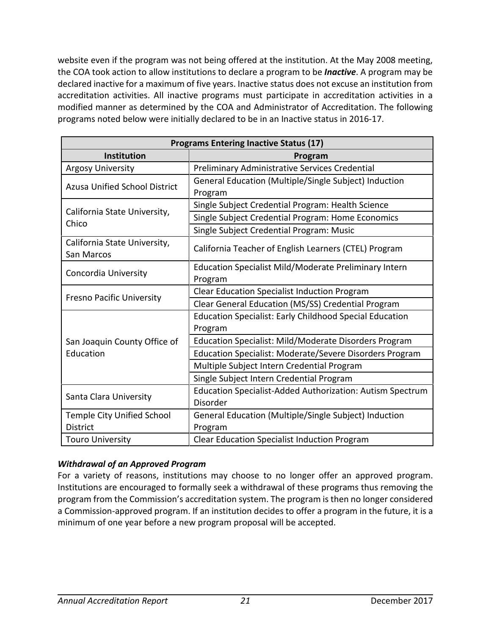website even if the program was not being offered at the institution. At the May 2008 meeting, the COA took action to allow institutions to declare a program to be *Inactive*. A program may be declared inactive for a maximum of five years. Inactive status does not excuse an institution from accreditation activities. All inactive programs must participate in accreditation activities in a modified manner as determined by the COA and Administrator of Accreditation. The following programs noted below were initially declared to be in an Inactive status in 2016-17.

| <b>Programs Entering Inactive Status (17)</b> |                                                                  |  |
|-----------------------------------------------|------------------------------------------------------------------|--|
| Institution                                   | Program                                                          |  |
| <b>Argosy University</b>                      | Preliminary Administrative Services Credential                   |  |
| <b>Azusa Unified School District</b>          | General Education (Multiple/Single Subject) Induction<br>Program |  |
|                                               | Single Subject Credential Program: Health Science                |  |
| California State University,<br>Chico         | Single Subject Credential Program: Home Economics                |  |
|                                               | Single Subject Credential Program: Music                         |  |
| California State University,<br>San Marcos    | California Teacher of English Learners (CTEL) Program            |  |
| Concordia University                          | Education Specialist Mild/Moderate Preliminary Intern            |  |
|                                               | Program                                                          |  |
| <b>Fresno Pacific University</b>              | Clear Education Specialist Induction Program                     |  |
|                                               | Clear General Education (MS/SS) Credential Program               |  |
|                                               | <b>Education Specialist: Early Childhood Special Education</b>   |  |
|                                               | Program                                                          |  |
| San Joaquin County Office of                  | Education Specialist: Mild/Moderate Disorders Program            |  |
| Education                                     | Education Specialist: Moderate/Severe Disorders Program          |  |
|                                               | Multiple Subject Intern Credential Program                       |  |
|                                               | Single Subject Intern Credential Program                         |  |
|                                               | Education Specialist-Added Authorization: Autism Spectrum        |  |
| Santa Clara University                        | Disorder                                                         |  |
| <b>Temple City Unified School</b>             | General Education (Multiple/Single Subject) Induction            |  |
| <b>District</b>                               | Program                                                          |  |
| <b>Touro University</b>                       | <b>Clear Education Specialist Induction Program</b>              |  |

## *Withdrawal of an Approved Program*

For a variety of reasons, institutions may choose to no longer offer an approved program. Institutions are encouraged to formally seek a withdrawal of these programs thus removing the program from the Commission's accreditation system. The program is then no longer considered a Commission-approved program. If an institution decides to offer a program in the future, it is a minimum of one year before a new program proposal will be accepted.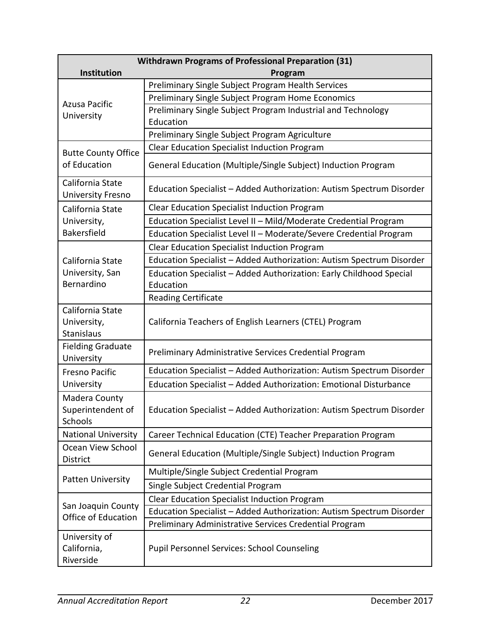| <b>Withdrawn Programs of Professional Preparation (31)</b> |                                                                      |  |  |
|------------------------------------------------------------|----------------------------------------------------------------------|--|--|
| Institution                                                | Program                                                              |  |  |
|                                                            | Preliminary Single Subject Program Health Services                   |  |  |
| Azusa Pacific                                              | Preliminary Single Subject Program Home Economics                    |  |  |
| University                                                 | Preliminary Single Subject Program Industrial and Technology         |  |  |
|                                                            | Education                                                            |  |  |
|                                                            | Preliminary Single Subject Program Agriculture                       |  |  |
| <b>Butte County Office</b>                                 | <b>Clear Education Specialist Induction Program</b>                  |  |  |
| of Education                                               | General Education (Multiple/Single Subject) Induction Program        |  |  |
| California State<br><b>University Fresno</b>               | Education Specialist - Added Authorization: Autism Spectrum Disorder |  |  |
| California State                                           | Clear Education Specialist Induction Program                         |  |  |
| University,                                                | Education Specialist Level II - Mild/Moderate Credential Program     |  |  |
| Bakersfield                                                | Education Specialist Level II - Moderate/Severe Credential Program   |  |  |
|                                                            | <b>Clear Education Specialist Induction Program</b>                  |  |  |
| California State                                           | Education Specialist - Added Authorization: Autism Spectrum Disorder |  |  |
| University, San                                            | Education Specialist - Added Authorization: Early Childhood Special  |  |  |
| Bernardino                                                 | Education                                                            |  |  |
|                                                            | <b>Reading Certificate</b>                                           |  |  |
| California State<br>University,<br>Stanislaus              | California Teachers of English Learners (CTEL) Program               |  |  |
| <b>Fielding Graduate</b><br>University                     | Preliminary Administrative Services Credential Program               |  |  |
| <b>Fresno Pacific</b>                                      | Education Specialist - Added Authorization: Autism Spectrum Disorder |  |  |
| University                                                 | Education Specialist - Added Authorization: Emotional Disturbance    |  |  |
| Madera County<br>Superintendent of<br>Schools              | Education Specialist - Added Authorization: Autism Spectrum Disorder |  |  |
| <b>National University</b>                                 | Career Technical Education (CTE) Teacher Preparation Program         |  |  |
| Ocean View School<br>District                              | General Education (Multiple/Single Subject) Induction Program        |  |  |
|                                                            | Multiple/Single Subject Credential Program                           |  |  |
| <b>Patten University</b>                                   | Single Subject Credential Program                                    |  |  |
| San Joaquin County<br>Office of Education                  | <b>Clear Education Specialist Induction Program</b>                  |  |  |
|                                                            | Education Specialist - Added Authorization: Autism Spectrum Disorder |  |  |
|                                                            | Preliminary Administrative Services Credential Program               |  |  |
| University of<br>California,<br>Riverside                  | <b>Pupil Personnel Services: School Counseling</b>                   |  |  |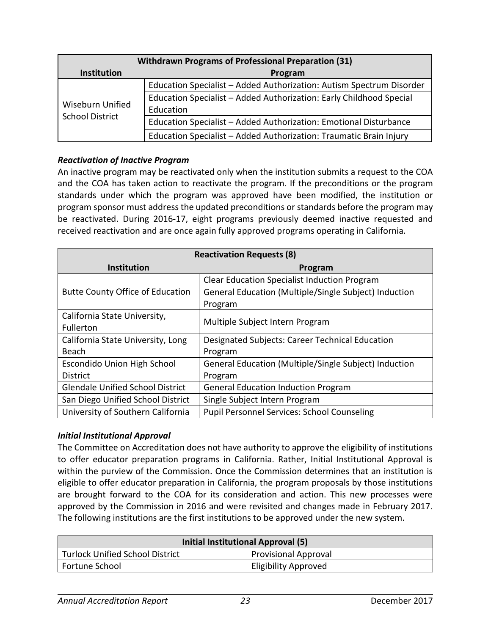| <b>Withdrawn Programs of Professional Preparation (31)</b> |                                                                      |  |  |  |
|------------------------------------------------------------|----------------------------------------------------------------------|--|--|--|
| <b>Institution</b>                                         | Program                                                              |  |  |  |
| <b>Wiseburn Unified</b><br><b>School District</b>          | Education Specialist - Added Authorization: Autism Spectrum Disorder |  |  |  |
|                                                            | Education Specialist - Added Authorization: Early Childhood Special  |  |  |  |
|                                                            | Education                                                            |  |  |  |
|                                                            | Education Specialist - Added Authorization: Emotional Disturbance    |  |  |  |
|                                                            | Education Specialist - Added Authorization: Traumatic Brain Injury   |  |  |  |

#### *Reactivation of Inactive Program*

An inactive program may be reactivated only when the institution submits a request to the COA and the COA has taken action to reactivate the program. If the preconditions or the program standards under which the program was approved have been modified, the institution or program sponsor must address the updated preconditions or standards before the program may be reactivated. During 2016-17, eight programs previously deemed inactive requested and received reactivation and are once again fully approved programs operating in California.

| <b>Reactivation Requests (8)</b>        |                                                       |  |  |  |
|-----------------------------------------|-------------------------------------------------------|--|--|--|
| <b>Institution</b>                      | Program                                               |  |  |  |
|                                         | <b>Clear Education Specialist Induction Program</b>   |  |  |  |
| <b>Butte County Office of Education</b> | General Education (Multiple/Single Subject) Induction |  |  |  |
|                                         | Program                                               |  |  |  |
| California State University,            |                                                       |  |  |  |
| Fullerton                               | Multiple Subject Intern Program                       |  |  |  |
| California State University, Long       | Designated Subjects: Career Technical Education       |  |  |  |
| Beach                                   | Program                                               |  |  |  |
| Escondido Union High School             | General Education (Multiple/Single Subject) Induction |  |  |  |
| <b>District</b>                         | Program                                               |  |  |  |
| <b>Glendale Unified School District</b> | <b>General Education Induction Program</b>            |  |  |  |
| San Diego Unified School District       | Single Subject Intern Program                         |  |  |  |
| University of Southern California       | <b>Pupil Personnel Services: School Counseling</b>    |  |  |  |

## *Initial Institutional Approval*

The Committee on Accreditation does not have authority to approve the eligibility of institutions to offer educator preparation programs in California. Rather, Initial Institutional Approval is within the purview of the Commission. Once the Commission determines that an institution is eligible to offer educator preparation in California, the program proposals by those institutions are brought forward to the COA for its consideration and action. This new processes were approved by the Commission in 2016 and were revisited and changes made in February 2017. The following institutions are the first institutions to be approved under the new system.

| Initial Institutional Approval (5) |                             |  |  |
|------------------------------------|-----------------------------|--|--|
| Turlock Unified School District    | <b>Provisional Approval</b> |  |  |
| <b>Fortune School</b>              | <b>Eligibility Approved</b> |  |  |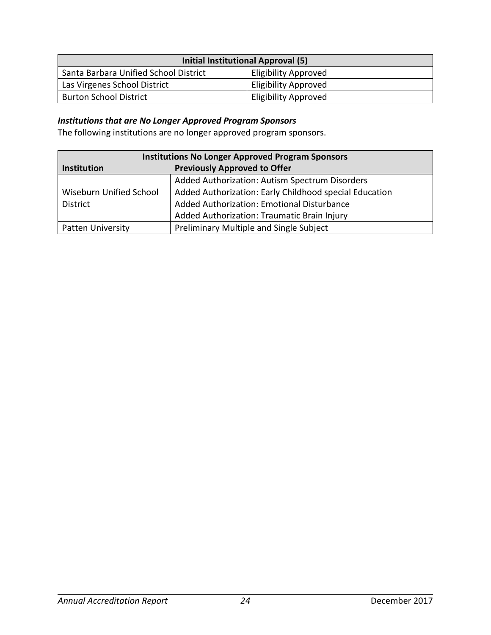| Initial Institutional Approval (5)    |                             |  |  |
|---------------------------------------|-----------------------------|--|--|
| Santa Barbara Unified School District | <b>Eligibility Approved</b> |  |  |
| Las Virgenes School District          | <b>Eligibility Approved</b> |  |  |
| <b>Burton School District</b>         | <b>Eligibility Approved</b> |  |  |

# *Institutions that are No Longer Approved Program Sponsors*

The following institutions are no longer approved program sponsors.

| <b>Institutions No Longer Approved Program Sponsors</b> |                                                        |  |
|---------------------------------------------------------|--------------------------------------------------------|--|
| Institution                                             | <b>Previously Approved to Offer</b>                    |  |
|                                                         | Added Authorization: Autism Spectrum Disorders         |  |
| Wiseburn Unified School                                 | Added Authorization: Early Childhood special Education |  |
| <b>District</b>                                         | Added Authorization: Emotional Disturbance             |  |
|                                                         | Added Authorization: Traumatic Brain Injury            |  |
| <b>Patten University</b>                                | Preliminary Multiple and Single Subject                |  |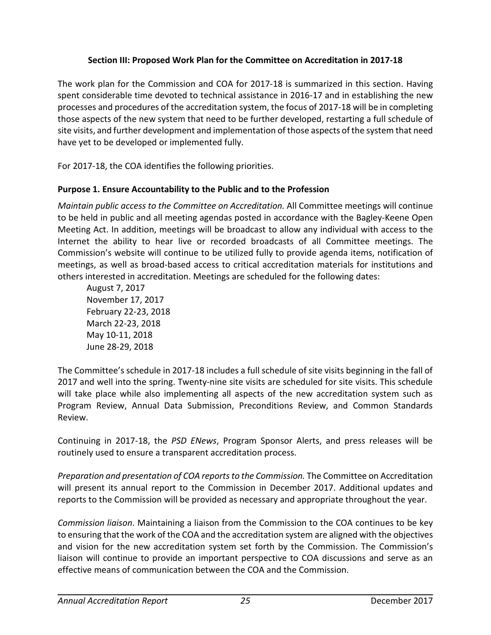## **Section III: Proposed Work Plan for the Committee on Accreditation in 2017-18**

The work plan for the Commission and COA for 2017-18 is summarized in this section. Having spent considerable time devoted to technical assistance in 2016-17 and in establishing the new processes and procedures of the accreditation system, the focus of 2017-18 will be in completing those aspects of the new system that need to be further developed, restarting a full schedule of site visits, and further development and implementation of those aspects of the system that need have yet to be developed or implemented fully.

For 2017-18, the COA identifies the following priorities.

# **Purpose 1. Ensure Accountability to the Public and to the Profession**

*Maintain public access to the Committee on Accreditation.* All Committee meetings will continue to be held in public and all meeting agendas posted in accordance with the Bagley-Keene Open Meeting Act. In addition, meetings will be broadcast to allow any individual with access to the Internet the ability to hear live or recorded broadcasts of all Committee meetings. The Commission's website will continue to be utilized fully to provide agenda items, notification of meetings, as well as broad-based access to critical accreditation materials for institutions and others interested in accreditation. Meetings are scheduled for the following dates:

August 7, 2017 November 17, 2017 February 22-23, 2018 March 22-23, 2018 May 10-11, 2018 June 28-29, 2018

The Committee's schedule in 2017-18 includes a full schedule of site visits beginning in the fall of 2017 and well into the spring. Twenty-nine site visits are scheduled for site visits. This schedule will take place while also implementing all aspects of the new accreditation system such as Program Review, Annual Data Submission, Preconditions Review, and Common Standards Review.

Continuing in 2017-18, the *PSD ENews*, Program Sponsor Alerts, and press releases will be routinely used to ensure a transparent accreditation process.

*Preparation and presentation of COA reports to the Commission.* The Committee on Accreditation will present its annual report to the Commission in December 2017. Additional updates and reports to the Commission will be provided as necessary and appropriate throughout the year.

*Commission liaison*. Maintaining a liaison from the Commission to the COA continues to be key to ensuring that the work of the COA and the accreditation system are aligned with the objectives and vision for the new accreditation system set forth by the Commission. The Commission's liaison will continue to provide an important perspective to COA discussions and serve as an effective means of communication between the COA and the Commission.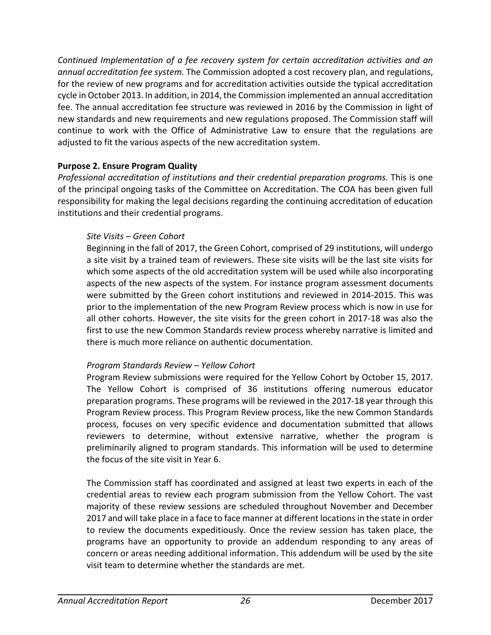*Continued Implementation of a fee recovery system for certain accreditation activities and an annual accreditation fee system.* The Commission adopted a cost recovery plan, and regulations, for the review of new programs and for accreditation activities outside the typical accreditation cycle in October 2013. In addition, in 2014, the Commission implemented an annual accreditation fee. The annual accreditation fee structure was reviewed in 2016 by the Commission in light of new standards and new requirements and new regulations proposed. The Commission staff will continue to work with the Office of Administrative Law to ensure that the regulations are adjusted to fit the various aspects of the new accreditation system.

## **Purpose 2. Ensure Program Quality**

*Professional accreditation of institutions and their credential preparation programs.* This is one of the principal ongoing tasks of the Committee on Accreditation. The COA has been given full responsibility for making the legal decisions regarding the continuing accreditation of education institutions and their credential programs.

#### *Site Visits – Green Cohort*

Beginning in the fall of 2017, the Green Cohort, comprised of 29 institutions, will undergo a site visit by a trained team of reviewers. These site visits will be the last site visits for which some aspects of the old accreditation system will be used while also incorporating aspects of the new aspects of the system. For instance program assessment documents were submitted by the Green cohort institutions and reviewed in 2014-2015. This was prior to the implementation of the new Program Review process which is now in use for all other cohorts. However, the site visits for the green cohort in 2017-18 was also the first to use the new Common Standards review process whereby narrative is limited and there is much more reliance on authentic documentation.

#### *Program Standards Review – Yellow Cohort*

Program Review submissions were required for the Yellow Cohort by October 15, 2017. The Yellow Cohort is comprised of 36 institutions offering numerous educator preparation programs. These programs will be reviewed in the 2017-18 year through this Program Review process. This Program Review process, like the new Common Standards process, focuses on very specific evidence and documentation submitted that allows reviewers to determine, without extensive narrative, whether the program is preliminarily aligned to program standards. This information will be used to determine the focus of the site visit in Year 6.

The Commission staff has coordinated and assigned at least two experts in each of the credential areas to review each program submission from the Yellow Cohort. The vast majority of these review sessions are scheduled throughout November and December 2017 and will take place in a face to face manner at different locations in the state in order to review the documents expeditiously. Once the review session has taken place, the programs have an opportunity to provide an addendum responding to any areas of concern or areas needing additional information. This addendum will be used by the site visit team to determine whether the standards are met.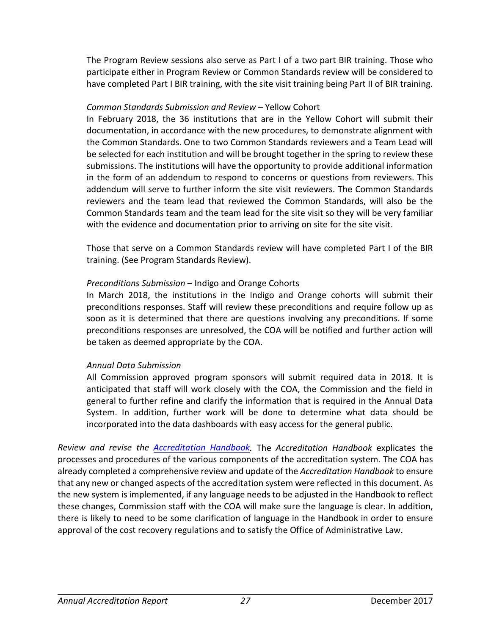The Program Review sessions also serve as Part I of a two part BIR training. Those who participate either in Program Review or Common Standards review will be considered to have completed Part I BIR training, with the site visit training being Part II of BIR training.

#### *Common Standards Submission and Review* – Yellow Cohort

In February 2018, the 36 institutions that are in the Yellow Cohort will submit their documentation, in accordance with the new procedures, to demonstrate alignment with the Common Standards. One to two Common Standards reviewers and a Team Lead will be selected for each institution and will be brought together in the spring to review these submissions. The institutions will have the opportunity to provide additional information in the form of an addendum to respond to concerns or questions from reviewers. This addendum will serve to further inform the site visit reviewers. The Common Standards reviewers and the team lead that reviewed the Common Standards, will also be the Common Standards team and the team lead for the site visit so they will be very familiar with the evidence and documentation prior to arriving on site for the site visit.

Those that serve on a Common Standards review will have completed Part I of the BIR training. (See Program Standards Review).

## *Preconditions Submission* – Indigo and Orange Cohorts

In March 2018, the institutions in the Indigo and Orange cohorts will submit their preconditions responses. Staff will review these preconditions and require follow up as soon as it is determined that there are questions involving any preconditions. If some preconditions responses are unresolved, the COA will be notified and further action will be taken as deemed appropriate by the COA.

## *Annual Data Submission*

All Commission approved program sponsors will submit required data in 2018. It is anticipated that staff will work closely with the COA, the Commission and the field in general to further refine and clarify the information that is required in the Annual Data System. In addition, further work will be done to determine what data should be incorporated into the data dashboards with easy access for the general public.

*Review and revise the [Accreditation Handbook.](https://www.ctc.ca.gov/educator-prep/accred-handbook)* The *Accreditation Handbook* explicates the processes and procedures of the various components of the accreditation system. The COA has already completed a comprehensive review and update of the *Accreditation Handbook* to ensure that any new or changed aspects of the accreditation system were reflected in this document. As the new system is implemented, if any language needs to be adjusted in the Handbook to reflect these changes, Commission staff with the COA will make sure the language is clear. In addition, there is likely to need to be some clarification of language in the Handbook in order to ensure approval of the cost recovery regulations and to satisfy the Office of Administrative Law.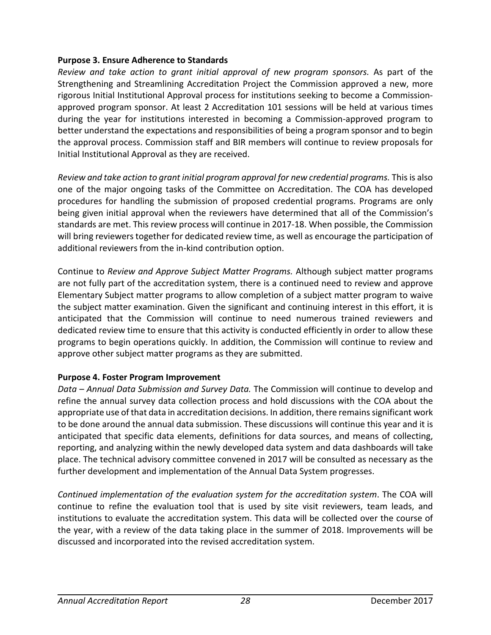#### **Purpose 3. Ensure Adherence to Standards**

*Review and take action to grant initial approval of new program sponsors.* As part of the Strengthening and Streamlining Accreditation Project the Commission approved a new, more rigorous Initial Institutional Approval process for institutions seeking to become a Commissionapproved program sponsor. At least 2 Accreditation 101 sessions will be held at various times during the year for institutions interested in becoming a Commission-approved program to better understand the expectations and responsibilities of being a program sponsor and to begin the approval process. Commission staff and BIR members will continue to review proposals for Initial Institutional Approval as they are received.

*Review and take action to grant initial program approval for new credential programs.* This is also one of the major ongoing tasks of the Committee on Accreditation. The COA has developed procedures for handling the submission of proposed credential programs. Programs are only being given initial approval when the reviewers have determined that all of the Commission's standards are met. This review process will continue in 2017-18. When possible, the Commission will bring reviewers together for dedicated review time, as well as encourage the participation of additional reviewers from the in-kind contribution option.

Continue to *Review and Approve Subject Matter Programs.* Although subject matter programs are not fully part of the accreditation system, there is a continued need to review and approve Elementary Subject matter programs to allow completion of a subject matter program to waive the subject matter examination. Given the significant and continuing interest in this effort, it is anticipated that the Commission will continue to need numerous trained reviewers and dedicated review time to ensure that this activity is conducted efficiently in order to allow these programs to begin operations quickly. In addition, the Commission will continue to review and approve other subject matter programs as they are submitted.

## **Purpose 4. Foster Program Improvement**

*Data – Annual Data Submission and Survey Data.* The Commission will continue to develop and refine the annual survey data collection process and hold discussions with the COA about the appropriate use of that data in accreditation decisions. In addition, there remains significant work to be done around the annual data submission. These discussions will continue this year and it is anticipated that specific data elements, definitions for data sources, and means of collecting, reporting, and analyzing within the newly developed data system and data dashboards will take place. The technical advisory committee convened in 2017 will be consulted as necessary as the further development and implementation of the Annual Data System progresses.

*Continued implementation of the evaluation system for the accreditation system*. The COA will continue to refine the evaluation tool that is used by site visit reviewers, team leads, and institutions to evaluate the accreditation system. This data will be collected over the course of the year, with a review of the data taking place in the summer of 2018. Improvements will be discussed and incorporated into the revised accreditation system.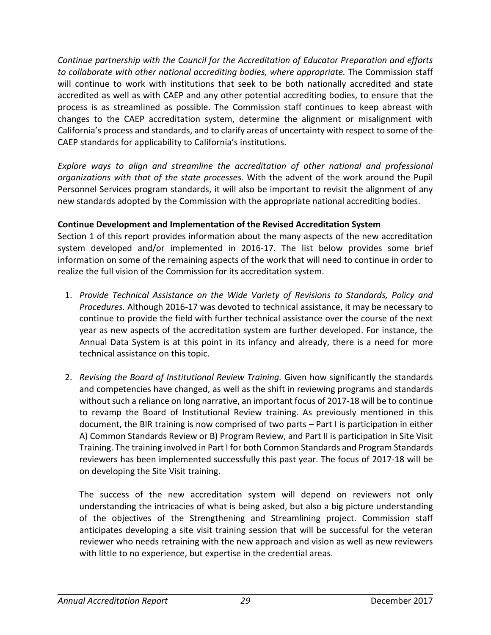*Continue partnership with the Council for the Accreditation of Educator Preparation and efforts to collaborate with other national accrediting bodies, where appropriate.* The Commission staff will continue to work with institutions that seek to be both nationally accredited and state accredited as well as with CAEP and any other potential accrediting bodies, to ensure that the process is as streamlined as possible. The Commission staff continues to keep abreast with changes to the CAEP accreditation system, determine the alignment or misalignment with California's process and standards, and to clarify areas of uncertainty with respect to some of the CAEP standards for applicability to California's institutions.

*Explore ways to align and streamline the accreditation of other national and professional organizations with that of the state processes.* With the advent of the work around the Pupil Personnel Services program standards, it will also be important to revisit the alignment of any new standards adopted by the Commission with the appropriate national accrediting bodies.

## **Continue Development and Implementation of the Revised Accreditation System**

Section 1 of this report provides information about the many aspects of the new accreditation system developed and/or implemented in 2016-17. The list below provides some brief information on some of the remaining aspects of the work that will need to continue in order to realize the full vision of the Commission for its accreditation system.

- 1. *Provide Technical Assistance on the Wide Variety of Revisions to Standards, Policy and Procedures.* Although 2016-17 was devoted to technical assistance, it may be necessary to continue to provide the field with further technical assistance over the course of the next year as new aspects of the accreditation system are further developed. For instance, the Annual Data System is at this point in its infancy and already, there is a need for more technical assistance on this topic.
- 2. *Revising the Board of Institutional Review Training.* Given how significantly the standards and competencies have changed, as well as the shift in reviewing programs and standards without such a reliance on long narrative, an important focus of 2017-18 will be to continue to revamp the Board of Institutional Review training. As previously mentioned in this document, the BIR training is now comprised of two parts – Part I is participation in either A) Common Standards Review or B) Program Review, and Part II is participation in Site Visit Training. The training involved in Part I for both Common Standards and Program Standards reviewers has been implemented successfully this past year. The focus of 2017-18 will be on developing the Site Visit training.

The success of the new accreditation system will depend on reviewers not only understanding the intricacies of what is being asked, but also a big picture understanding of the objectives of the Strengthening and Streamlining project. Commission staff anticipates developing a site visit training session that will be successful for the veteran reviewer who needs retraining with the new approach and vision as well as new reviewers with little to no experience, but expertise in the credential areas.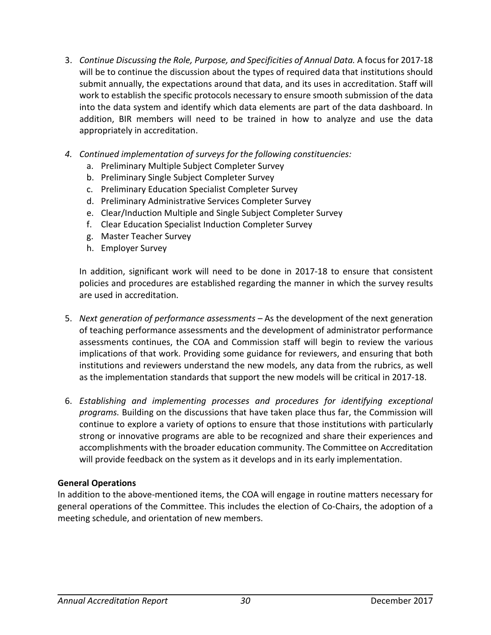- 3. *Continue Discussing the Role, Purpose, and Specificities of Annual Data.* A focus for 2017-18 will be to continue the discussion about the types of required data that institutions should submit annually, the expectations around that data, and its uses in accreditation. Staff will work to establish the specific protocols necessary to ensure smooth submission of the data into the data system and identify which data elements are part of the data dashboard. In addition, BIR members will need to be trained in how to analyze and use the data appropriately in accreditation.
- *4. Continued implementation of surveys for the following constituencies:*
	- a. Preliminary Multiple Subject Completer Survey
	- b. Preliminary Single Subject Completer Survey
	- c. Preliminary Education Specialist Completer Survey
	- d. Preliminary Administrative Services Completer Survey
	- e. Clear/Induction Multiple and Single Subject Completer Survey
	- f. Clear Education Specialist Induction Completer Survey
	- g. Master Teacher Survey
	- h. Employer Survey

In addition, significant work will need to be done in 2017-18 to ensure that consistent policies and procedures are established regarding the manner in which the survey results are used in accreditation.

- 5. *Next generation of performance assessments –* As the development of the next generation of teaching performance assessments and the development of administrator performance assessments continues, the COA and Commission staff will begin to review the various implications of that work. Providing some guidance for reviewers, and ensuring that both institutions and reviewers understand the new models, any data from the rubrics, as well as the implementation standards that support the new models will be critical in 2017-18.
- 6. *Establishing and implementing processes and procedures for identifying exceptional programs.* Building on the discussions that have taken place thus far, the Commission will continue to explore a variety of options to ensure that those institutions with particularly strong or innovative programs are able to be recognized and share their experiences and accomplishments with the broader education community. The Committee on Accreditation will provide feedback on the system as it develops and in its early implementation.

#### **General Operations**

In addition to the above-mentioned items, the COA will engage in routine matters necessary for general operations of the Committee. This includes the election of Co-Chairs, the adoption of a meeting schedule, and orientation of new members.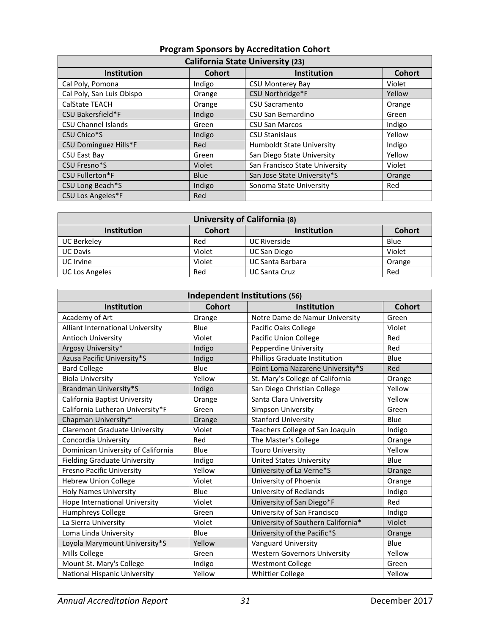| <b>California State University (23)</b> |               |                                  |               |  |
|-----------------------------------------|---------------|----------------------------------|---------------|--|
| <b>Institution</b>                      | <b>Cohort</b> | Institution                      | <b>Cohort</b> |  |
| Cal Poly, Pomona                        | Indigo        | <b>CSU Monterey Bay</b>          | Violet        |  |
| Cal Poly, San Luis Obispo               | Orange        | CSU Northridge*F                 | Yellow        |  |
| <b>CalState TEACH</b>                   | Orange        | <b>CSU Sacramento</b>            | Orange        |  |
| CSU Bakersfield*F                       | Indigo        | CSU San Bernardino               | Green         |  |
| <b>CSU Channel Islands</b>              | Green         | <b>CSU San Marcos</b>            | Indigo        |  |
| CSU Chico*S                             | Indigo        | <b>CSU Stanislaus</b>            | Yellow        |  |
| <b>CSU Dominguez Hills*F</b>            | Red           | <b>Humboldt State University</b> | Indigo        |  |
| CSU East Bay                            | Green         | San Diego State University       | Yellow        |  |
| CSU Fresno*S                            | Violet        | San Francisco State University   | Violet        |  |
| <b>CSU Fullerton*F</b>                  | Blue          | San Jose State University*S      | Orange        |  |
| CSU Long Beach*S                        | Indigo        | Sonoma State University          | Red           |  |
| CSU Los Angeles*F                       | Red           |                                  |               |  |

# **Program Sponsors by Accreditation Cohort**

| <b>University of California (8)</b>                                        |        |                         |        |  |  |
|----------------------------------------------------------------------------|--------|-------------------------|--------|--|--|
| <b>Cohort</b><br><b>Institution</b><br><b>Cohort</b><br><b>Institution</b> |        |                         |        |  |  |
| <b>UC Berkeley</b>                                                         | Red    | <b>UC Riverside</b>     | Blue   |  |  |
| <b>UC Davis</b>                                                            | Violet | <b>UC San Diego</b>     | Violet |  |  |
| UC Irvine                                                                  | Violet | <b>UC Santa Barbara</b> | Orange |  |  |
| <b>UC Los Angeles</b>                                                      | Red    | <b>UC Santa Cruz</b>    | Red    |  |  |

| Independent Institutions (56)        |               |                                     |               |  |
|--------------------------------------|---------------|-------------------------------------|---------------|--|
| Institution                          | <b>Cohort</b> | <b>Institution</b>                  | <b>Cohort</b> |  |
| Academy of Art                       | Orange        | Notre Dame de Namur University      | Green         |  |
| Alliant International University     | Blue          | Pacific Oaks College                | Violet        |  |
| Antioch University                   | Violet        | <b>Pacific Union College</b>        | Red           |  |
| Argosy University*                   | Indigo        | Pepperdine University               | Red           |  |
| Azusa Pacific University*S           | Indigo        | Phillips Graduate Institution       | Blue          |  |
| <b>Bard College</b>                  | Blue          | Point Loma Nazarene University*S    | Red           |  |
| <b>Biola University</b>              | Yellow        | St. Mary's College of California    | Orange        |  |
| Brandman University*S                | Indigo        | San Diego Christian College         | Yellow        |  |
| California Baptist University        | Orange        | Santa Clara University              | Yellow        |  |
| California Lutheran University*F     | Green         | Simpson University                  | Green         |  |
| Chapman University~                  | Orange        | <b>Stanford University</b>          | Blue          |  |
| <b>Claremont Graduate University</b> | Violet        | Teachers College of San Joaquin     | Indigo        |  |
| Concordia University                 | Red           | The Master's College                | Orange        |  |
| Dominican University of California   | Blue          | <b>Touro University</b>             | Yellow        |  |
| <b>Fielding Graduate University</b>  | Indigo        | <b>United States University</b>     | Blue          |  |
| Fresno Pacific University            | Yellow        | University of La Verne*S            | Orange        |  |
| <b>Hebrew Union College</b>          | Violet        | University of Phoenix               | Orange        |  |
| <b>Holy Names University</b>         | Blue          | University of Redlands              | Indigo        |  |
| Hope International University        | Violet        | University of San Diego*F           | Red           |  |
| Humphreys College                    | Green         | University of San Francisco         | Indigo        |  |
| La Sierra University                 | Violet        | University of Southern California*  | Violet        |  |
| Loma Linda University                | Blue          | University of the Pacific*S         | Orange        |  |
| Loyola Marymount University*S        | Yellow        | Vanguard University                 | Blue          |  |
| Mills College                        | Green         | <b>Western Governors University</b> | Yellow        |  |
| Mount St. Mary's College             | Indigo        | <b>Westmont College</b>             | Green         |  |
| National Hispanic University         | Yellow        | <b>Whittier College</b>             | Yellow        |  |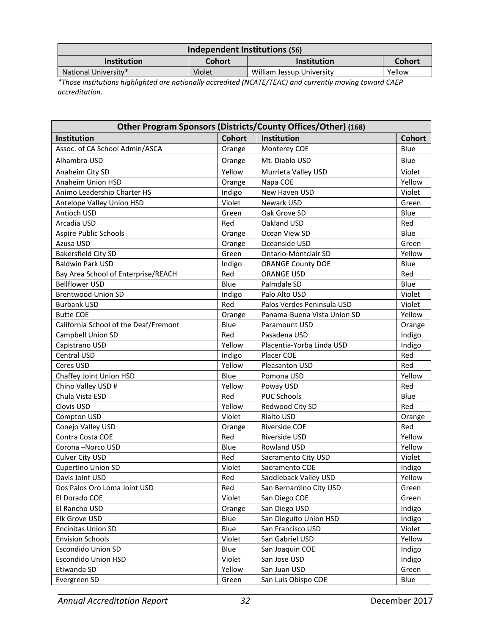| Independent Institutions (56) |        |                           |        |  |
|-------------------------------|--------|---------------------------|--------|--|
| <b>Institution</b>            | Cohort | <b>Institution</b>        | Cohort |  |
| National University*          | Violet | William Jessup University | Yellow |  |

*\*Those institutions highlighted are nationally accredited (NCATE/TEAC) and currently moving toward CAEP accreditation.*

| Other Program Sponsors (Districts/County Offices/Other) (168) |               |                             |               |  |  |
|---------------------------------------------------------------|---------------|-----------------------------|---------------|--|--|
| Institution                                                   | <b>Cohort</b> | Institution                 | <b>Cohort</b> |  |  |
| Assoc. of CA School Admin/ASCA                                | Orange        | Monterey COE                | Blue          |  |  |
| Alhambra USD                                                  | Orange        | Mt. Diablo USD              | Blue          |  |  |
| Anaheim City SD                                               | Yellow        | Murrieta Valley USD         | Violet        |  |  |
| Anaheim Union HSD                                             | Orange        | Napa COE                    | Yellow        |  |  |
| Animo Leadership Charter HS                                   | Indigo        | New Haven USD               | Violet        |  |  |
| Antelope Valley Union HSD                                     | Violet        | Newark USD                  | Green         |  |  |
| Antioch USD                                                   | Green         | Oak Grove SD                | Blue          |  |  |
| Arcadia USD                                                   | Red           | Oakland USD                 | Red           |  |  |
| Aspire Public Schools                                         | Orange        | Ocean View SD               | Blue          |  |  |
| Azusa USD                                                     | Orange        | Oceanside USD               | Green         |  |  |
| <b>Bakersfield City SD</b>                                    | Green         | <b>Ontario-Montclair SD</b> | Yellow        |  |  |
| <b>Baldwin Park USD</b>                                       | Indigo        | <b>ORANGE County DOE</b>    | Blue          |  |  |
| Bay Area School of Enterprise/REACH                           | Red           | <b>ORANGE USD</b>           | Red           |  |  |
| <b>Bellflower USD</b>                                         | Blue          | Palmdale SD                 | Blue          |  |  |
| <b>Brentwood Union SD</b>                                     | Indigo        | Palo Alto USD               | Violet        |  |  |
| <b>Burbank USD</b>                                            | Red           | Palos Verdes Peninsula USD  | Violet        |  |  |
| <b>Butte COE</b>                                              | Orange        | Panama-Buena Vista Union SD | Yellow        |  |  |
| California School of the Deaf/Fremont                         | <b>Blue</b>   | Paramount USD               | Orange        |  |  |
| <b>Campbell Union SD</b>                                      | Red           | Pasadena USD                | Indigo        |  |  |
| Capistrano USD                                                | Yellow        | Placentia-Yorba Linda USD   | Indigo        |  |  |
| Central USD                                                   | Indigo        | Placer COE                  | Red           |  |  |
| Ceres USD                                                     | Yellow        | Pleasanton USD              | Red           |  |  |
| Chaffey Joint Union HSD                                       | Blue          | Pomona USD                  | Yellow        |  |  |
| Chino Valley USD #                                            | Yellow        | Poway USD                   | Red           |  |  |
| Chula Vista ESD                                               | Red           | <b>PUC Schools</b>          | Blue          |  |  |
| Clovis USD                                                    | Yellow        | Redwood City SD             | Red           |  |  |
| Compton USD                                                   | Violet        | Rialto USD                  | Orange        |  |  |
| Conejo Valley USD                                             | Orange        | Riverside COE               | Red           |  |  |
| Contra Costa COE                                              | Red           | Riverside USD               | Yellow        |  |  |
| Corona-Norco USD                                              | Blue          | Rowland USD                 | Yellow        |  |  |
| Culver City USD                                               | Red           | Sacramento City USD         | Violet        |  |  |
| <b>Cupertino Union SD</b>                                     | Violet        | Sacramento COE              | Indigo        |  |  |
| Davis Joint USD                                               | Red           | Saddleback Valley USD       | Yellow        |  |  |
| Dos Palos Oro Loma Joint USD                                  | Red           | San Bernardino City USD     | Green         |  |  |
| El Dorado COE                                                 | Violet        | San Diego COE               | Green         |  |  |
| El Rancho USD                                                 | Orange        | San Diego USD               | Indigo        |  |  |
| Elk Grove USD                                                 | Blue          | San Dieguito Union HSD      | Indigo        |  |  |
| <b>Encinitas Union SD</b>                                     | Blue          | San Francisco USD           | Violet        |  |  |
| <b>Envision Schools</b>                                       | Violet        | San Gabriel USD             | Yellow        |  |  |
| <b>Escondido Union SD</b>                                     | Blue          | San Joaquin COE             | Indigo        |  |  |
| <b>Escondido Union HSD</b>                                    | Violet        | San Jose USD                | Indigo        |  |  |
| Etiwanda SD                                                   | Yellow        | San Juan USD                | Green         |  |  |
| Evergreen SD                                                  | Green         | San Luis Obispo COE         | Blue          |  |  |